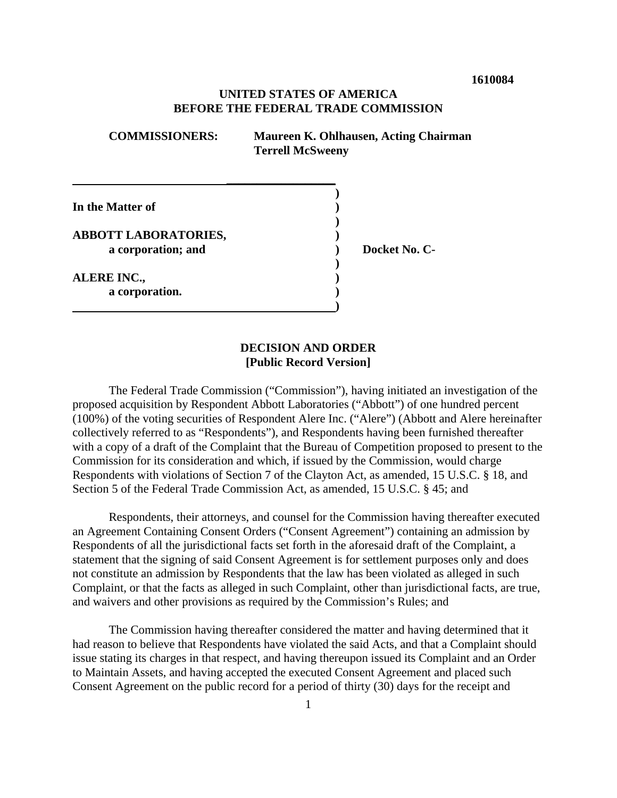**1610084**

## **UNITED STATES OF AMERICA BEFORE THE FEDERAL TRADE COMMISSION**

| <b>COMMISSIONERS:</b>       | <b>Maureen K. Ohlhausen, Acting Chairman</b><br><b>Terrell McSweeny</b> |
|-----------------------------|-------------------------------------------------------------------------|
| In the Matter of            |                                                                         |
| <b>ABBOTT LABORATORIES,</b> |                                                                         |
| a corporation; and          | Docket No. C-                                                           |
| <b>ALERE INC.,</b>          |                                                                         |
| a corporation.              |                                                                         |

 **)**

## **DECISION AND ORDER [Public Record Version]**

The Federal Trade Commission ("Commission"), having initiated an investigation of the proposed acquisition by Respondent Abbott Laboratories ("Abbott") of one hundred percent (100%) of the voting securities of Respondent Alere Inc. ("Alere") (Abbott and Alere hereinafter collectively referred to as "Respondents"), and Respondents having been furnished thereafter with a copy of a draft of the Complaint that the Bureau of Competition proposed to present to the Commission for its consideration and which, if issued by the Commission, would charge Respondents with violations of Section 7 of the Clayton Act, as amended, 15 U.S.C. § 18, and Section 5 of the Federal Trade Commission Act, as amended, 15 U.S.C. § 45; and

Respondents, their attorneys, and counsel for the Commission having thereafter executed an Agreement Containing Consent Orders ("Consent Agreement") containing an admission by Respondents of all the jurisdictional facts set forth in the aforesaid draft of the Complaint, a statement that the signing of said Consent Agreement is for settlement purposes only and does not constitute an admission by Respondents that the law has been violated as alleged in such Complaint, or that the facts as alleged in such Complaint, other than jurisdictional facts, are true, and waivers and other provisions as required by the Commission's Rules; and

The Commission having thereafter considered the matter and having determined that it had reason to believe that Respondents have violated the said Acts, and that a Complaint should issue stating its charges in that respect, and having thereupon issued its Complaint and an Order to Maintain Assets, and having accepted the executed Consent Agreement and placed such Consent Agreement on the public record for a period of thirty (30) days for the receipt and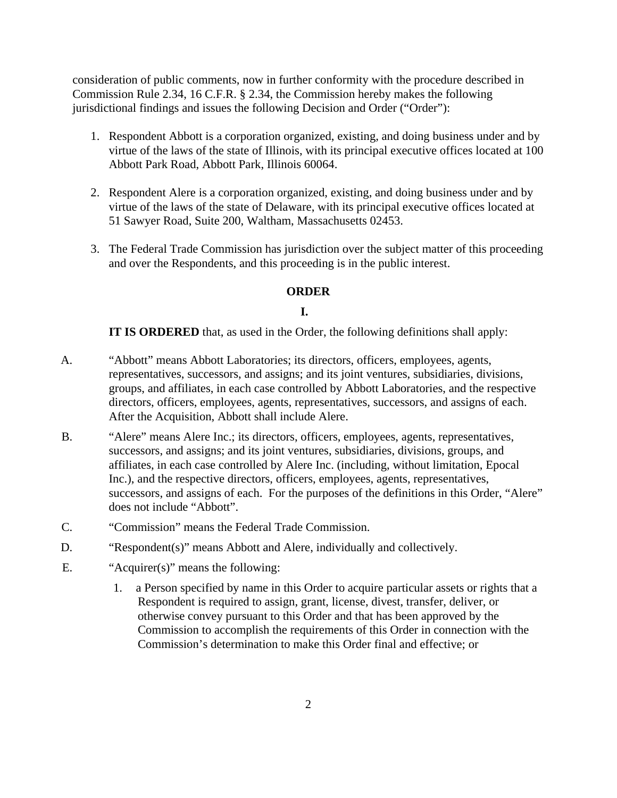consideration of public comments, now in further conformity with the procedure described in Commission Rule 2.34, 16 C.F.R. § 2.34, the Commission hereby makes the following jurisdictional findings and issues the following Decision and Order ("Order"):

- 1. Respondent Abbott is a corporation organized, existing, and doing business under and by virtue of the laws of the state of Illinois, with its principal executive offices located at 100 Abbott Park Road, Abbott Park, Illinois 60064.
- 2. Respondent Alere is a corporation organized, existing, and doing business under and by virtue of the laws of the state of Delaware, with its principal executive offices located at 51 Sawyer Road, Suite 200, Waltham, Massachusetts 02453.
- 3. The Federal Trade Commission has jurisdiction over the subject matter of this proceeding and over the Respondents, and this proceeding is in the public interest.

## **ORDER**

## **I.**

**IT IS ORDERED** that, as used in the Order, the following definitions shall apply:

- A. "Abbott" means Abbott Laboratories; its directors, officers, employees, agents, representatives, successors, and assigns; and its joint ventures, subsidiaries, divisions, groups, and affiliates, in each case controlled by Abbott Laboratories, and the respective directors, officers, employees, agents, representatives, successors, and assigns of each. After the Acquisition, Abbott shall include Alere.
- B. "Alere" means Alere Inc.; its directors, officers, employees, agents, representatives, successors, and assigns; and its joint ventures, subsidiaries, divisions, groups, and affiliates, in each case controlled by Alere Inc. (including, without limitation, Epocal Inc.), and the respective directors, officers, employees, agents, representatives, successors, and assigns of each. For the purposes of the definitions in this Order, "Alere" does not include "Abbott".
- C. "Commission" means the Federal Trade Commission.
- D. "Respondent(s)" means Abbott and Alere, individually and collectively.
- E. "Acquirer(s)" means the following:
	- 1. a Person specified by name in this Order to acquire particular assets or rights that a Respondent is required to assign, grant, license, divest, transfer, deliver, or otherwise convey pursuant to this Order and that has been approved by the Commission to accomplish the requirements of this Order in connection with the Commission's determination to make this Order final and effective; or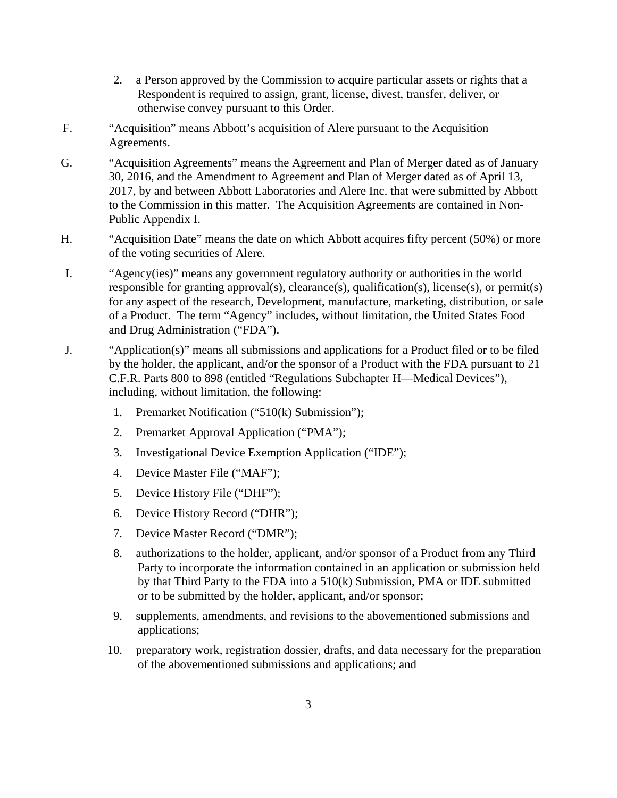- 2. a Person approved by the Commission to acquire particular assets or rights that a Respondent is required to assign, grant, license, divest, transfer, deliver, or otherwise convey pursuant to this Order.
- F. "Acquisition" means Abbott's acquisition of Alere pursuant to the Acquisition Agreements.
- G. "Acquisition Agreements" means the Agreement and Plan of Merger dated as of January 30, 2016, and the Amendment to Agreement and Plan of Merger dated as of April 13, 2017, by and between Abbott Laboratories and Alere Inc. that were submitted by Abbott to the Commission in this matter. The Acquisition Agreements are contained in Non-Public Appendix I.
- H. "Acquisition Date" means the date on which Abbott acquires fifty percent (50%) or more of the voting securities of Alere.
- I. "Agency(ies)" means any government regulatory authority or authorities in the world responsible for granting approval(s), clearance(s), qualification(s), license(s), or permit(s) for any aspect of the research, Development, manufacture, marketing, distribution, or sale of a Product. The term "Agency" includes, without limitation, the United States Food and Drug Administration ("FDA").
- J. "Application(s)" means all submissions and applications for a Product filed or to be filed by the holder, the applicant, and/or the sponsor of a Product with the FDA pursuant to 21 C.F.R. Parts 800 to 898 (entitled "Regulations Subchapter H—Medical Devices"), including, without limitation, the following:
	- 1. Premarket Notification ("510(k) Submission");
	- 2. Premarket Approval Application ("PMA");
	- 3. Investigational Device Exemption Application ("IDE");
	- 4. Device Master File ("MAF");
	- 5. Device History File ("DHF");
	- 6. Device History Record ("DHR");
	- 7. Device Master Record ("DMR");
	- 8. authorizations to the holder, applicant, and/or sponsor of a Product from any Third Party to incorporate the information contained in an application or submission held by that Third Party to the FDA into a 510(k) Submission, PMA or IDE submitted or to be submitted by the holder, applicant, and/or sponsor;
	- 9. supplements, amendments, and revisions to the abovementioned submissions and applications;
	- 10. preparatory work, registration dossier, drafts, and data necessary for the preparation of the abovementioned submissions and applications; and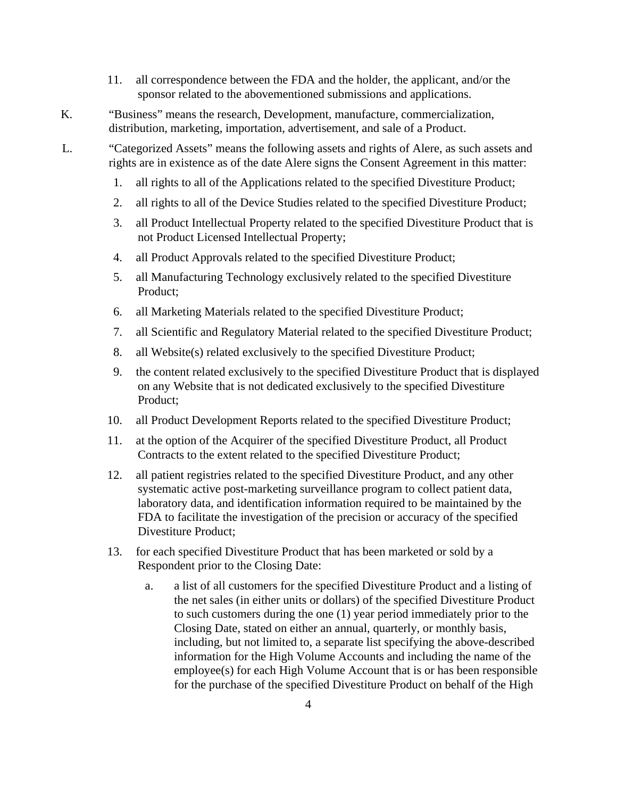- 11. all correspondence between the FDA and the holder, the applicant, and/or the sponsor related to the abovementioned submissions and applications.
- K. "Business" means the research, Development, manufacture, commercialization, distribution, marketing, importation, advertisement, and sale of a Product.

L. "Categorized Assets" means the following assets and rights of Alere, as such assets and rights are in existence as of the date Alere signs the Consent Agreement in this matter:

- 1. all rights to all of the Applications related to the specified Divestiture Product;
- 2. all rights to all of the Device Studies related to the specified Divestiture Product;
- 3. all Product Intellectual Property related to the specified Divestiture Product that is not Product Licensed Intellectual Property;
- 4. all Product Approvals related to the specified Divestiture Product;
- 5. all Manufacturing Technology exclusively related to the specified Divestiture Product;
- 6. all Marketing Materials related to the specified Divestiture Product;
- 7. all Scientific and Regulatory Material related to the specified Divestiture Product;
- 8. all Website(s) related exclusively to the specified Divestiture Product;
- 9. the content related exclusively to the specified Divestiture Product that is displayed on any Website that is not dedicated exclusively to the specified Divestiture Product;
- 10. all Product Development Reports related to the specified Divestiture Product;
- 11. at the option of the Acquirer of the specified Divestiture Product, all Product Contracts to the extent related to the specified Divestiture Product;
- 12. all patient registries related to the specified Divestiture Product, and any other systematic active post-marketing surveillance program to collect patient data, laboratory data, and identification information required to be maintained by the FDA to facilitate the investigation of the precision or accuracy of the specified Divestiture Product;
- 13. for each specified Divestiture Product that has been marketed or sold by a Respondent prior to the Closing Date:
	- a. a list of all customers for the specified Divestiture Product and a listing of the net sales (in either units or dollars) of the specified Divestiture Product to such customers during the one (1) year period immediately prior to the Closing Date, stated on either an annual, quarterly, or monthly basis, including, but not limited to, a separate list specifying the above-described information for the High Volume Accounts and including the name of the employee(s) for each High Volume Account that is or has been responsible for the purchase of the specified Divestiture Product on behalf of the High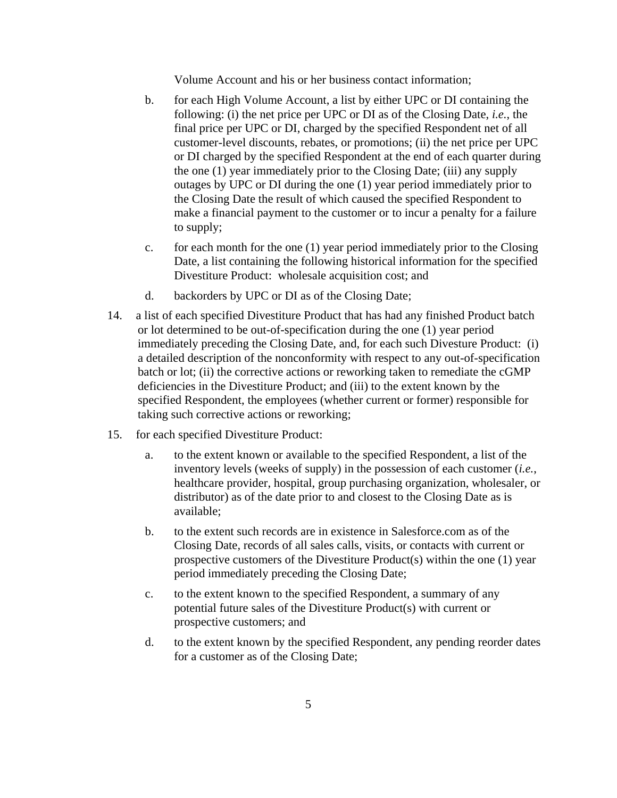Volume Account and his or her business contact information;

- b. for each High Volume Account, a list by either UPC or DI containing the following: (i) the net price per UPC or DI as of the Closing Date, *i.e.*, the final price per UPC or DI, charged by the specified Respondent net of all customer-level discounts, rebates, or promotions; (ii) the net price per UPC or DI charged by the specified Respondent at the end of each quarter during the one (1) year immediately prior to the Closing Date; (iii) any supply outages by UPC or DI during the one (1) year period immediately prior to the Closing Date the result of which caused the specified Respondent to make a financial payment to the customer or to incur a penalty for a failure to supply;
- c. for each month for the one (1) year period immediately prior to the Closing Date, a list containing the following historical information for the specified Divestiture Product: wholesale acquisition cost; and
- d. backorders by UPC or DI as of the Closing Date;
- 14. a list of each specified Divestiture Product that has had any finished Product batch or lot determined to be out-of-specification during the one (1) year period immediately preceding the Closing Date, and, for each such Divesture Product: (i) a detailed description of the nonconformity with respect to any out-of-specification batch or lot; (ii) the corrective actions or reworking taken to remediate the cGMP deficiencies in the Divestiture Product; and (iii) to the extent known by the specified Respondent, the employees (whether current or former) responsible for taking such corrective actions or reworking;
- 15. for each specified Divestiture Product:
	- a. to the extent known or available to the specified Respondent, a list of the inventory levels (weeks of supply) in the possession of each customer (*i.e.*, healthcare provider, hospital, group purchasing organization, wholesaler, or distributor) as of the date prior to and closest to the Closing Date as is available;
	- b. to the extent such records are in existence in Salesforce.com as of the Closing Date, records of all sales calls, visits, or contacts with current or prospective customers of the Divestiture Product(s) within the one (1) year period immediately preceding the Closing Date;
	- c. to the extent known to the specified Respondent, a summary of any potential future sales of the Divestiture Product(s) with current or prospective customers; and
	- d. to the extent known by the specified Respondent, any pending reorder dates for a customer as of the Closing Date;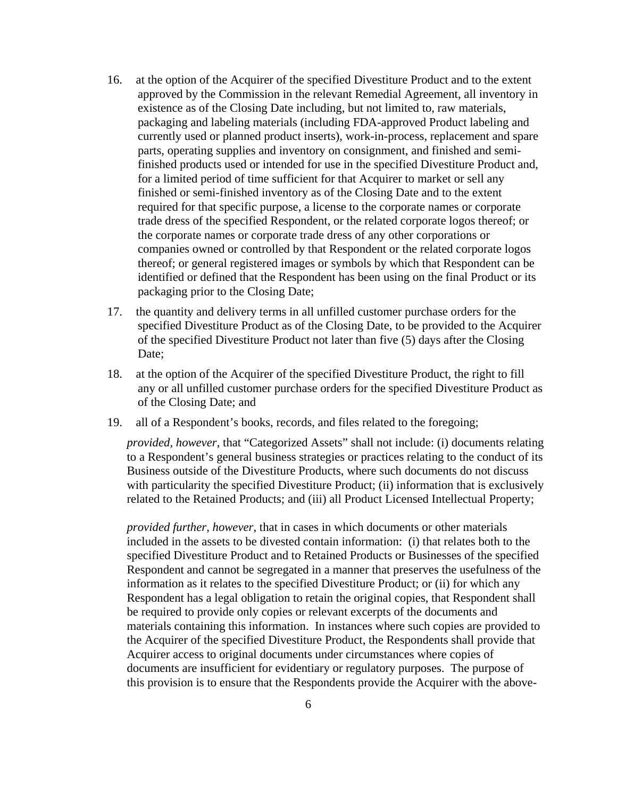- 16. at the option of the Acquirer of the specified Divestiture Product and to the extent approved by the Commission in the relevant Remedial Agreement, all inventory in existence as of the Closing Date including, but not limited to, raw materials, packaging and labeling materials (including FDA-approved Product labeling and currently used or planned product inserts), work-in-process, replacement and spare parts, operating supplies and inventory on consignment, and finished and semifinished products used or intended for use in the specified Divestiture Product and, for a limited period of time sufficient for that Acquirer to market or sell any finished or semi-finished inventory as of the Closing Date and to the extent required for that specific purpose, a license to the corporate names or corporate trade dress of the specified Respondent, or the related corporate logos thereof; or the corporate names or corporate trade dress of any other corporations or companies owned or controlled by that Respondent or the related corporate logos thereof; or general registered images or symbols by which that Respondent can be identified or defined that the Respondent has been using on the final Product or its packaging prior to the Closing Date;
- 17. the quantity and delivery terms in all unfilled customer purchase orders for the specified Divestiture Product as of the Closing Date, to be provided to the Acquirer of the specified Divestiture Product not later than five (5) days after the Closing Date;
- 18. at the option of the Acquirer of the specified Divestiture Product, the right to fill any or all unfilled customer purchase orders for the specified Divestiture Product as of the Closing Date; and
- 19. all of a Respondent's books, records, and files related to the foregoing;

*provided, however*, that "Categorized Assets" shall not include: (i) documents relating to a Respondent's general business strategies or practices relating to the conduct of its Business outside of the Divestiture Products, where such documents do not discuss with particularity the specified Divestiture Product; (ii) information that is exclusively related to the Retained Products; and (iii) all Product Licensed Intellectual Property;

*provided further*, *however*, that in cases in which documents or other materials included in the assets to be divested contain information: (i) that relates both to the specified Divestiture Product and to Retained Products or Businesses of the specified Respondent and cannot be segregated in a manner that preserves the usefulness of the information as it relates to the specified Divestiture Product; or (ii) for which any Respondent has a legal obligation to retain the original copies, that Respondent shall be required to provide only copies or relevant excerpts of the documents and materials containing this information. In instances where such copies are provided to the Acquirer of the specified Divestiture Product, the Respondents shall provide that Acquirer access to original documents under circumstances where copies of documents are insufficient for evidentiary or regulatory purposes. The purpose of this provision is to ensure that the Respondents provide the Acquirer with the above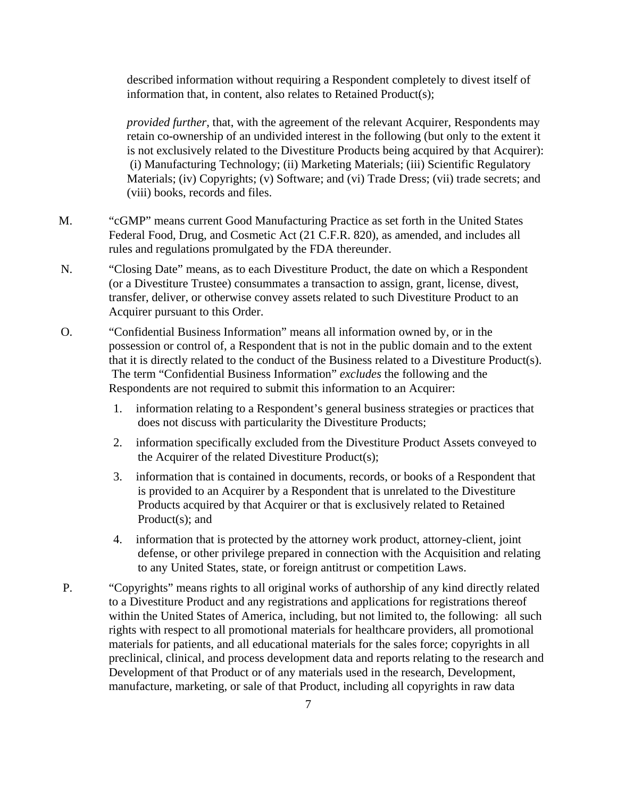described information without requiring a Respondent completely to divest itself of information that, in content, also relates to Retained Product(s);

*provided further*, that, with the agreement of the relevant Acquirer, Respondents may retain co-ownership of an undivided interest in the following (but only to the extent it is not exclusively related to the Divestiture Products being acquired by that Acquirer): (i) Manufacturing Technology; (ii) Marketing Materials; (iii) Scientific Regulatory Materials; (iv) Copyrights; (v) Software; and (vi) Trade Dress; (vii) trade secrets; and (viii) books, records and files.

- M. "cGMP" means current Good Manufacturing Practice as set forth in the United States Federal Food, Drug, and Cosmetic Act (21 C.F.R. 820), as amended, and includes all rules and regulations promulgated by the FDA thereunder.
- N. "Closing Date" means, as to each Divestiture Product, the date on which a Respondent (or a Divestiture Trustee) consummates a transaction to assign, grant, license, divest, transfer, deliver, or otherwise convey assets related to such Divestiture Product to an Acquirer pursuant to this Order.
- O. "Confidential Business Information" means all information owned by, or in the possession or control of, a Respondent that is not in the public domain and to the extent that it is directly related to the conduct of the Business related to a Divestiture Product(s). The term "Confidential Business Information" *excludes* the following and the Respondents are not required to submit this information to an Acquirer:
	- 1. information relating to a Respondent's general business strategies or practices that does not discuss with particularity the Divestiture Products;
	- 2. information specifically excluded from the Divestiture Product Assets conveyed to the Acquirer of the related Divestiture Product(s);
	- 3. information that is contained in documents, records, or books of a Respondent that is provided to an Acquirer by a Respondent that is unrelated to the Divestiture Products acquired by that Acquirer or that is exclusively related to Retained Product(s); and
	- 4. information that is protected by the attorney work product, attorney-client, joint defense, or other privilege prepared in connection with the Acquisition and relating to any United States, state, or foreign antitrust or competition Laws.
- P. "Copyrights" means rights to all original works of authorship of any kind directly related to a Divestiture Product and any registrations and applications for registrations thereof within the United States of America, including, but not limited to, the following: all such rights with respect to all promotional materials for healthcare providers, all promotional materials for patients, and all educational materials for the sales force; copyrights in all preclinical, clinical, and process development data and reports relating to the research and Development of that Product or of any materials used in the research, Development, manufacture, marketing, or sale of that Product, including all copyrights in raw data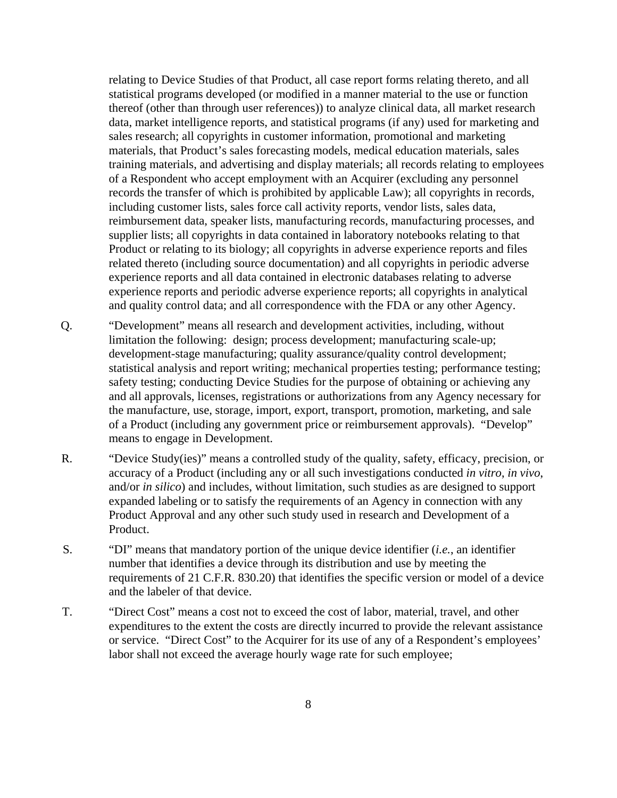relating to Device Studies of that Product, all case report forms relating thereto, and all statistical programs developed (or modified in a manner material to the use or function thereof (other than through user references)) to analyze clinical data, all market research data, market intelligence reports, and statistical programs (if any) used for marketing and sales research; all copyrights in customer information, promotional and marketing materials, that Product's sales forecasting models, medical education materials, sales training materials, and advertising and display materials; all records relating to employees of a Respondent who accept employment with an Acquirer (excluding any personnel records the transfer of which is prohibited by applicable Law); all copyrights in records, including customer lists, sales force call activity reports, vendor lists, sales data, reimbursement data, speaker lists, manufacturing records, manufacturing processes, and supplier lists; all copyrights in data contained in laboratory notebooks relating to that Product or relating to its biology; all copyrights in adverse experience reports and files related thereto (including source documentation) and all copyrights in periodic adverse experience reports and all data contained in electronic databases relating to adverse experience reports and periodic adverse experience reports; all copyrights in analytical and quality control data; and all correspondence with the FDA or any other Agency.

- Q. "Development" means all research and development activities, including, without limitation the following: design; process development; manufacturing scale-up; development-stage manufacturing; quality assurance/quality control development; statistical analysis and report writing; mechanical properties testing; performance testing; safety testing; conducting Device Studies for the purpose of obtaining or achieving any and all approvals, licenses, registrations or authorizations from any Agency necessary for the manufacture, use, storage, import, export, transport, promotion, marketing, and sale of a Product (including any government price or reimbursement approvals). "Develop" means to engage in Development.
- R. "Device Study(ies)" means a controlled study of the quality, safety, efficacy, precision, or accuracy of a Product (including any or all such investigations conducted *in vitro*, *in vivo*, and/or *in silico*) and includes, without limitation, such studies as are designed to support expanded labeling or to satisfy the requirements of an Agency in connection with any Product Approval and any other such study used in research and Development of a Product.
- S. "DI" means that mandatory portion of the unique device identifier (*i.e.*, an identifier number that identifies a device through its distribution and use by meeting the requirements of 21 C.F.R. 830.20) that identifies the specific version or model of a device and the labeler of that device.
- T. "Direct Cost" means a cost not to exceed the cost of labor, material, travel, and other expenditures to the extent the costs are directly incurred to provide the relevant assistance or service. "Direct Cost" to the Acquirer for its use of any of a Respondent's employees' labor shall not exceed the average hourly wage rate for such employee;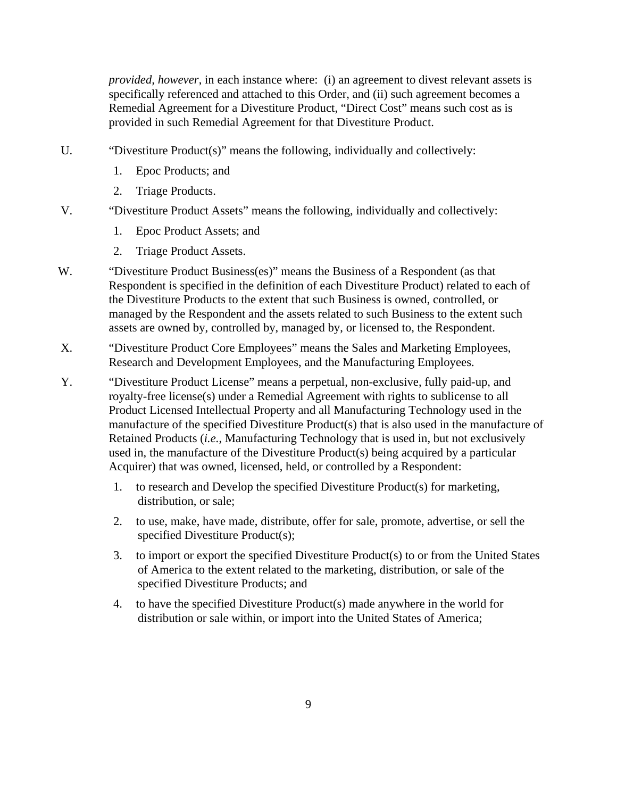*provided, however*, in each instance where: (i) an agreement to divest relevant assets is specifically referenced and attached to this Order, and (ii) such agreement becomes a Remedial Agreement for a Divestiture Product, "Direct Cost" means such cost as is provided in such Remedial Agreement for that Divestiture Product.

- U. "Divestiture Product(s)" means the following, individually and collectively:
	- 1. Epoc Products; and
	- 2. Triage Products.
- V. "Divestiture Product Assets" means the following, individually and collectively:
	- 1. Epoc Product Assets; and
	- 2. Triage Product Assets.
- W. "Divestiture Product Business(es)" means the Business of a Respondent (as that Respondent is specified in the definition of each Divestiture Product) related to each of the Divestiture Products to the extent that such Business is owned, controlled, or managed by the Respondent and the assets related to such Business to the extent such assets are owned by, controlled by, managed by, or licensed to, the Respondent.
- X. "Divestiture Product Core Employees" means the Sales and Marketing Employees, Research and Development Employees, and the Manufacturing Employees.
- Y. "Divestiture Product License" means a perpetual, non-exclusive, fully paid-up, and royalty-free license(s) under a Remedial Agreement with rights to sublicense to all Product Licensed Intellectual Property and all Manufacturing Technology used in the manufacture of the specified Divestiture Product(s) that is also used in the manufacture of Retained Products (*i.e.*, Manufacturing Technology that is used in, but not exclusively used in, the manufacture of the Divestiture Product(s) being acquired by a particular Acquirer) that was owned, licensed, held, or controlled by a Respondent:
	- 1. to research and Develop the specified Divestiture Product(s) for marketing, distribution, or sale;
	- 2. to use, make, have made, distribute, offer for sale, promote, advertise, or sell the specified Divestiture Product(s);
	- 3. to import or export the specified Divestiture Product(s) to or from the United States of America to the extent related to the marketing, distribution, or sale of the specified Divestiture Products; and
	- 4. to have the specified Divestiture Product(s) made anywhere in the world for distribution or sale within, or import into the United States of America;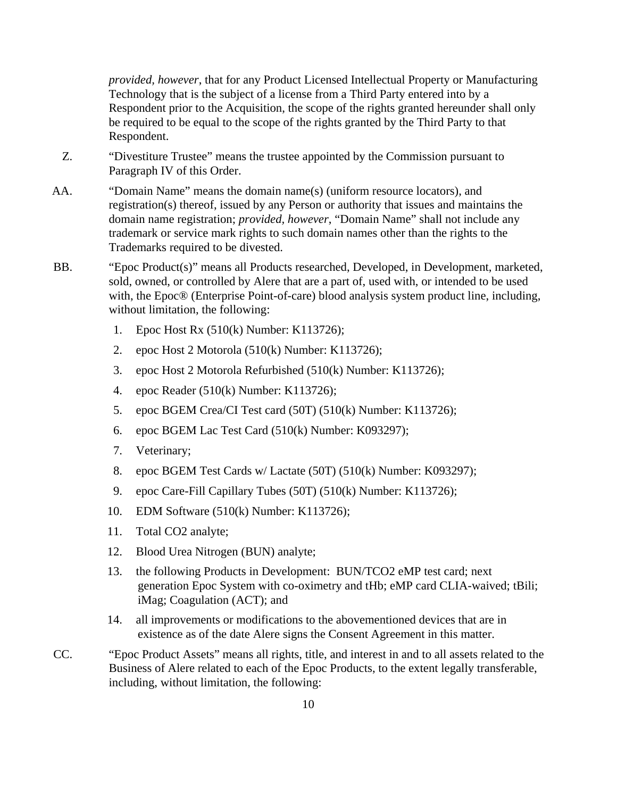*provided, however*, that for any Product Licensed Intellectual Property or Manufacturing Technology that is the subject of a license from a Third Party entered into by a Respondent prior to the Acquisition, the scope of the rights granted hereunder shall only be required to be equal to the scope of the rights granted by the Third Party to that Respondent.

- Z. "Divestiture Trustee" means the trustee appointed by the Commission pursuant to Paragraph IV of this Order.
- AA. "Domain Name" means the domain name(s) (uniform resource locators), and registration(s) thereof, issued by any Person or authority that issues and maintains the domain name registration; *provided, however*, "Domain Name" shall not include any trademark or service mark rights to such domain names other than the rights to the Trademarks required to be divested.
- BB. "Epoc Product(s)" means all Products researched, Developed, in Development, marketed, sold, owned, or controlled by Alere that are a part of, used with, or intended to be used with, the Epoc® (Enterprise Point-of-care) blood analysis system product line, including, without limitation, the following:
	- 1. Epoc Host Rx (510(k) Number: K113726);
	- 2. epoc Host 2 Motorola (510(k) Number: K113726);
	- 3. epoc Host 2 Motorola Refurbished (510(k) Number: K113726);
	- 4. epoc Reader (510(k) Number: K113726);
	- 5. epoc BGEM Crea/CI Test card (50T) (510(k) Number: K113726);
	- 6. epoc BGEM Lac Test Card (510(k) Number: K093297);
	- 7. Veterinary;
	- 8. epoc BGEM Test Cards w/ Lactate (50T) (510(k) Number: K093297);
	- 9. epoc Care-Fill Capillary Tubes (50T) (510(k) Number: K113726);
	- 10. EDM Software (510(k) Number: K113726);
	- 11. Total CO2 analyte;
	- 12. Blood Urea Nitrogen (BUN) analyte;
	- 13. the following Products in Development: BUN/TCO2 eMP test card; next generation Epoc System with co-oximetry and tHb; eMP card CLIA-waived; tBili; iMag; Coagulation (ACT); and
	- 14. all improvements or modifications to the abovementioned devices that are in existence as of the date Alere signs the Consent Agreement in this matter.
- CC. "Epoc Product Assets" means all rights, title, and interest in and to all assets related to the Business of Alere related to each of the Epoc Products, to the extent legally transferable, including, without limitation, the following: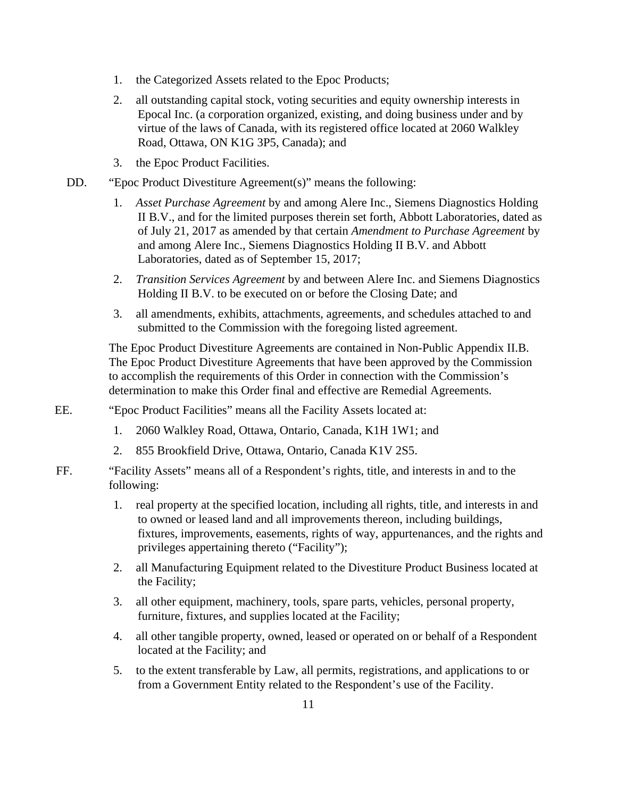- 1. the Categorized Assets related to the Epoc Products;
- 2. all outstanding capital stock, voting securities and equity ownership interests in Epocal Inc. (a corporation organized, existing, and doing business under and by virtue of the laws of Canada, with its registered office located at 2060 Walkley Road, Ottawa, ON K1G 3P5, Canada); and
- 3. the Epoc Product Facilities.
- DD. "Epoc Product Divestiture Agreement(s)" means the following:
	- 1. *Asset Purchase Agreement* by and among Alere Inc., Siemens Diagnostics Holding II B.V., and for the limited purposes therein set forth, Abbott Laboratories, dated as of July 21, 2017 as amended by that certain *Amendment to Purchase Agreement* by and among Alere Inc., Siemens Diagnostics Holding II B.V. and Abbott Laboratories, dated as of September 15, 2017;
	- 2. *Transition Services Agreement* by and between Alere Inc. and Siemens Diagnostics Holding II B.V. to be executed on or before the Closing Date; and
	- 3. all amendments, exhibits, attachments, agreements, and schedules attached to and submitted to the Commission with the foregoing listed agreement.

The Epoc Product Divestiture Agreements are contained in Non-Public Appendix II.B. The Epoc Product Divestiture Agreements that have been approved by the Commission to accomplish the requirements of this Order in connection with the Commission's determination to make this Order final and effective are Remedial Agreements.

- EE. "Epoc Product Facilities" means all the Facility Assets located at:
	- 1. 2060 Walkley Road, Ottawa, Ontario, Canada, K1H 1W1; and
	- 2. 855 Brookfield Drive, Ottawa, Ontario, Canada K1V 2S5.
- FF. "Facility Assets" means all of a Respondent's rights, title, and interests in and to the following:
	- 1. real property at the specified location, including all rights, title, and interests in and to owned or leased land and all improvements thereon, including buildings, fixtures, improvements, easements, rights of way, appurtenances, and the rights and privileges appertaining thereto ("Facility");
	- 2. all Manufacturing Equipment related to the Divestiture Product Business located at the Facility;
	- 3. all other equipment, machinery, tools, spare parts, vehicles, personal property, furniture, fixtures, and supplies located at the Facility;
	- 4. all other tangible property, owned, leased or operated on or behalf of a Respondent located at the Facility; and
	- 5. to the extent transferable by Law, all permits, registrations, and applications to or from a Government Entity related to the Respondent's use of the Facility.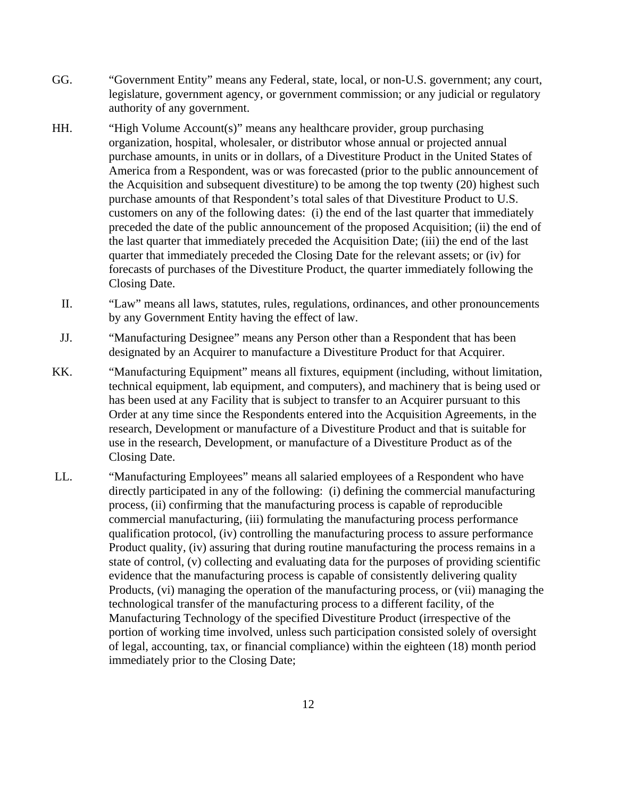- GG. "Government Entity" means any Federal, state, local, or non-U.S. government; any court, legislature, government agency, or government commission; or any judicial or regulatory authority of any government.
- HH. "High Volume Account(s)" means any healthcare provider, group purchasing organization, hospital, wholesaler, or distributor whose annual or projected annual purchase amounts, in units or in dollars, of a Divestiture Product in the United States of America from a Respondent, was or was forecasted (prior to the public announcement of the Acquisition and subsequent divestiture) to be among the top twenty (20) highest such purchase amounts of that Respondent's total sales of that Divestiture Product to U.S. customers on any of the following dates: (i) the end of the last quarter that immediately preceded the date of the public announcement of the proposed Acquisition; (ii) the end of the last quarter that immediately preceded the Acquisition Date; (iii) the end of the last quarter that immediately preceded the Closing Date for the relevant assets; or (iv) for forecasts of purchases of the Divestiture Product, the quarter immediately following the Closing Date.
	- II. "Law" means all laws, statutes, rules, regulations, ordinances, and other pronouncements by any Government Entity having the effect of law.
- JJ. "Manufacturing Designee" means any Person other than a Respondent that has been designated by an Acquirer to manufacture a Divestiture Product for that Acquirer.
- KK. "Manufacturing Equipment" means all fixtures, equipment (including, without limitation, technical equipment, lab equipment, and computers), and machinery that is being used or has been used at any Facility that is subject to transfer to an Acquirer pursuant to this Order at any time since the Respondents entered into the Acquisition Agreements, in the research, Development or manufacture of a Divestiture Product and that is suitable for use in the research, Development, or manufacture of a Divestiture Product as of the Closing Date.
- LL. "Manufacturing Employees" means all salaried employees of a Respondent who have directly participated in any of the following: (i) defining the commercial manufacturing process, (ii) confirming that the manufacturing process is capable of reproducible commercial manufacturing, (iii) formulating the manufacturing process performance qualification protocol, (iv) controlling the manufacturing process to assure performance Product quality, (iv) assuring that during routine manufacturing the process remains in a state of control, (v) collecting and evaluating data for the purposes of providing scientific evidence that the manufacturing process is capable of consistently delivering quality Products, (vi) managing the operation of the manufacturing process, or (vii) managing the technological transfer of the manufacturing process to a different facility, of the Manufacturing Technology of the specified Divestiture Product (irrespective of the portion of working time involved, unless such participation consisted solely of oversight of legal, accounting, tax, or financial compliance) within the eighteen (18) month period immediately prior to the Closing Date;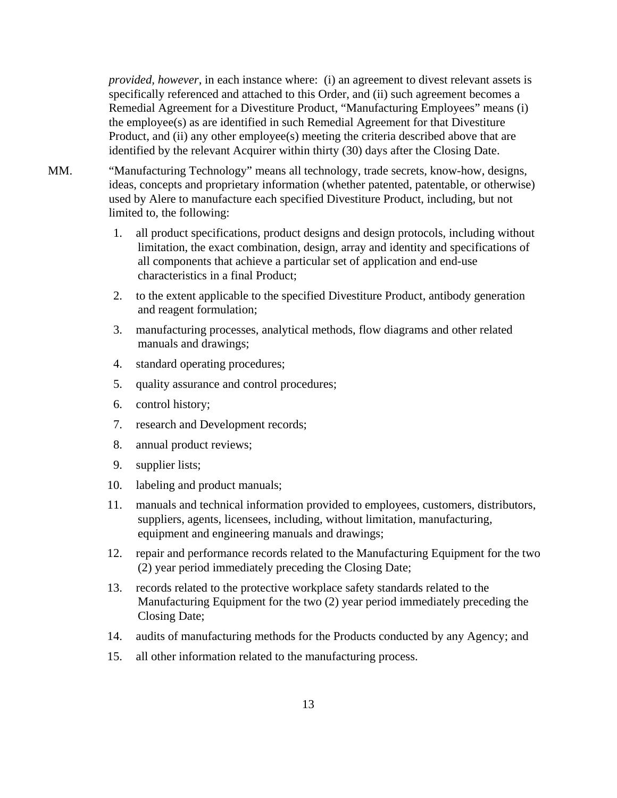*provided, however*, in each instance where: (i) an agreement to divest relevant assets is specifically referenced and attached to this Order, and (ii) such agreement becomes a Remedial Agreement for a Divestiture Product, "Manufacturing Employees" means (i) the employee(s) as are identified in such Remedial Agreement for that Divestiture Product, and (ii) any other employee(s) meeting the criteria described above that are identified by the relevant Acquirer within thirty (30) days after the Closing Date.

- MM. "Manufacturing Technology" means all technology, trade secrets, know-how, designs, ideas, concepts and proprietary information (whether patented, patentable, or otherwise) used by Alere to manufacture each specified Divestiture Product, including, but not limited to, the following:
	- 1. all product specifications, product designs and design protocols, including without limitation, the exact combination, design, array and identity and specifications of all components that achieve a particular set of application and end-use characteristics in a final Product;
	- 2. to the extent applicable to the specified Divestiture Product, antibody generation and reagent formulation;
	- 3. manufacturing processes, analytical methods, flow diagrams and other related manuals and drawings;
	- 4. standard operating procedures;
	- 5. quality assurance and control procedures;
	- 6. control history;
	- 7. research and Development records;
	- 8. annual product reviews;
	- 9. supplier lists;
	- 10. labeling and product manuals;
	- 11. manuals and technical information provided to employees, customers, distributors, suppliers, agents, licensees, including, without limitation, manufacturing, equipment and engineering manuals and drawings;
	- 12. repair and performance records related to the Manufacturing Equipment for the two (2) year period immediately preceding the Closing Date;
	- 13. records related to the protective workplace safety standards related to the Manufacturing Equipment for the two (2) year period immediately preceding the Closing Date;
	- 14. audits of manufacturing methods for the Products conducted by any Agency; and
	- 15. all other information related to the manufacturing process.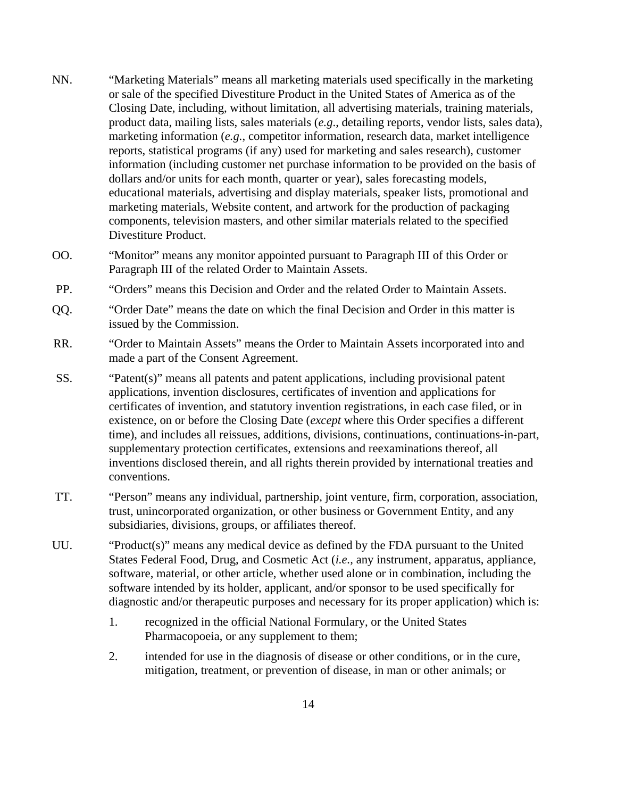- NN. "Marketing Materials" means all marketing materials used specifically in the marketing or sale of the specified Divestiture Product in the United States of America as of the Closing Date, including, without limitation, all advertising materials, training materials, product data, mailing lists, sales materials (*e.g*., detailing reports, vendor lists, sales data), marketing information (*e.g.*, competitor information, research data, market intelligence reports, statistical programs (if any) used for marketing and sales research), customer information (including customer net purchase information to be provided on the basis of dollars and/or units for each month, quarter or year), sales forecasting models, educational materials, advertising and display materials, speaker lists, promotional and marketing materials, Website content, and artwork for the production of packaging components, television masters, and other similar materials related to the specified Divestiture Product.
- OO. "Monitor" means any monitor appointed pursuant to Paragraph III of this Order or Paragraph III of the related Order to Maintain Assets.
- PP. "Orders" means this Decision and Order and the related Order to Maintain Assets.
- QQ. "Order Date" means the date on which the final Decision and Order in this matter is issued by the Commission.
- RR. "Order to Maintain Assets" means the Order to Maintain Assets incorporated into and made a part of the Consent Agreement.
- SS. "Patent(s)" means all patents and patent applications, including provisional patent applications, invention disclosures, certificates of invention and applications for certificates of invention, and statutory invention registrations, in each case filed, or in existence, on or before the Closing Date (*except* where this Order specifies a different time), and includes all reissues, additions, divisions, continuations, continuations-in-part, supplementary protection certificates, extensions and reexaminations thereof, all inventions disclosed therein, and all rights therein provided by international treaties and conventions.
- TT. "Person" means any individual, partnership, joint venture, firm, corporation, association, trust, unincorporated organization, or other business or Government Entity, and any subsidiaries, divisions, groups, or affiliates thereof.
- UU. "Product(s)" means any medical device as defined by the FDA pursuant to the United States Federal Food, Drug, and Cosmetic Act (*i.e.,* any instrument, apparatus, appliance, software, material, or other article, whether used alone or in combination, including the software intended by its holder, applicant, and/or sponsor to be used specifically for diagnostic and/or therapeutic purposes and necessary for its proper application) which is:
	- 1. recognized in the official National Formulary, or the United States Pharmacopoeia, or any supplement to them;
	- 2. intended for use in the diagnosis of disease or other conditions, or in the cure, mitigation, treatment, or prevention of disease, in man or other animals; or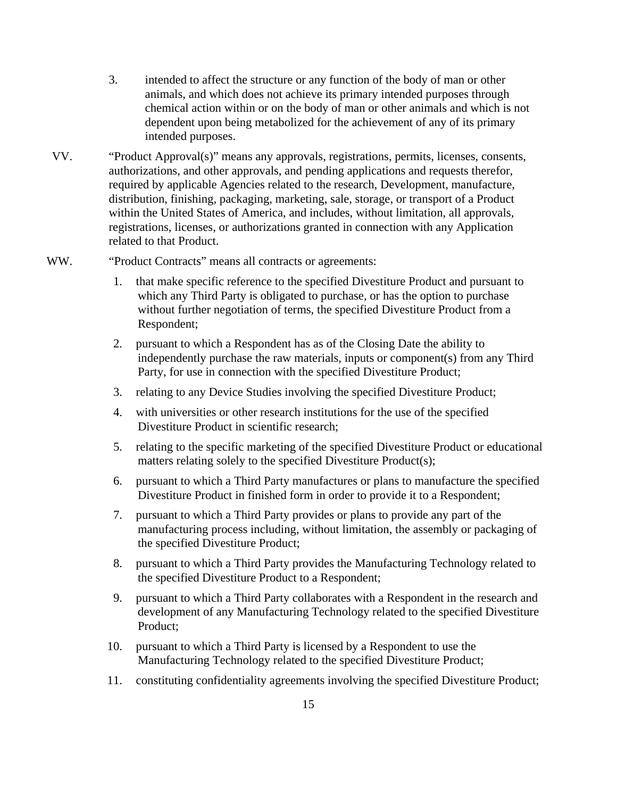- 3. intended to affect the structure or any function of the body of man or other animals, and which does not achieve its primary intended purposes through chemical action within or on the body of man or other animals and which is not dependent upon being metabolized for the achievement of any of its primary intended purposes.
- VV. "Product Approval(s)" means any approvals, registrations, permits, licenses, consents, authorizations, and other approvals, and pending applications and requests therefor, required by applicable Agencies related to the research, Development, manufacture, distribution, finishing, packaging, marketing, sale, storage, or transport of a Product within the United States of America, and includes, without limitation, all approvals, registrations, licenses, or authorizations granted in connection with any Application related to that Product.
- WW. "Product Contracts" means all contracts or agreements:
	- 1. that make specific reference to the specified Divestiture Product and pursuant to which any Third Party is obligated to purchase, or has the option to purchase without further negotiation of terms, the specified Divestiture Product from a Respondent;
	- 2. pursuant to which a Respondent has as of the Closing Date the ability to independently purchase the raw materials, inputs or component(s) from any Third Party, for use in connection with the specified Divestiture Product;
	- 3. relating to any Device Studies involving the specified Divestiture Product;
	- 4. with universities or other research institutions for the use of the specified Divestiture Product in scientific research;
	- 5. relating to the specific marketing of the specified Divestiture Product or educational matters relating solely to the specified Divestiture Product(s);
	- 6. pursuant to which a Third Party manufactures or plans to manufacture the specified Divestiture Product in finished form in order to provide it to a Respondent;
	- 7. pursuant to which a Third Party provides or plans to provide any part of the manufacturing process including, without limitation, the assembly or packaging of the specified Divestiture Product;
	- 8. pursuant to which a Third Party provides the Manufacturing Technology related to the specified Divestiture Product to a Respondent;
	- 9. pursuant to which a Third Party collaborates with a Respondent in the research and development of any Manufacturing Technology related to the specified Divestiture Product;
	- 10. pursuant to which a Third Party is licensed by a Respondent to use the Manufacturing Technology related to the specified Divestiture Product;
	- 11. constituting confidentiality agreements involving the specified Divestiture Product;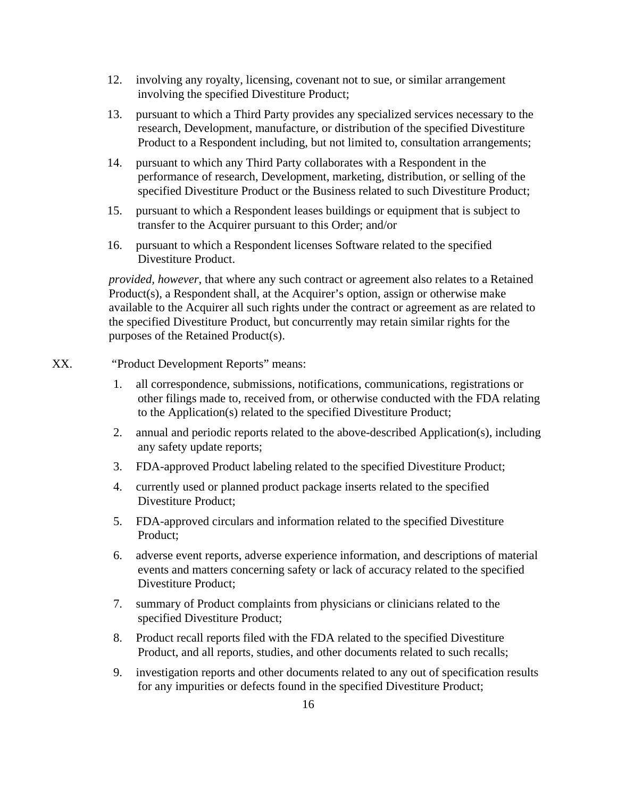- 12. involving any royalty, licensing, covenant not to sue, or similar arrangement involving the specified Divestiture Product;
- 13. pursuant to which a Third Party provides any specialized services necessary to the research, Development, manufacture, or distribution of the specified Divestiture Product to a Respondent including, but not limited to, consultation arrangements;
- 14. pursuant to which any Third Party collaborates with a Respondent in the performance of research, Development, marketing, distribution, or selling of the specified Divestiture Product or the Business related to such Divestiture Product;
- 15. pursuant to which a Respondent leases buildings or equipment that is subject to transfer to the Acquirer pursuant to this Order; and/or
- 16. pursuant to which a Respondent licenses Software related to the specified Divestiture Product.

*provided, however*, that where any such contract or agreement also relates to a Retained Product(s), a Respondent shall, at the Acquirer's option, assign or otherwise make available to the Acquirer all such rights under the contract or agreement as are related to the specified Divestiture Product, but concurrently may retain similar rights for the purposes of the Retained Product(s).

#### XX. "Product Development Reports" means:

- 1. all correspondence, submissions, notifications, communications, registrations or other filings made to, received from, or otherwise conducted with the FDA relating to the Application(s) related to the specified Divestiture Product;
- 2. annual and periodic reports related to the above-described Application(s), including any safety update reports;
- 3. FDA-approved Product labeling related to the specified Divestiture Product;
- 4. currently used or planned product package inserts related to the specified Divestiture Product;
- 5. FDA-approved circulars and information related to the specified Divestiture Product;
- 6. adverse event reports, adverse experience information, and descriptions of material events and matters concerning safety or lack of accuracy related to the specified Divestiture Product;
- 7. summary of Product complaints from physicians or clinicians related to the specified Divestiture Product;
- 8. Product recall reports filed with the FDA related to the specified Divestiture Product, and all reports, studies, and other documents related to such recalls;
- 9. investigation reports and other documents related to any out of specification results for any impurities or defects found in the specified Divestiture Product;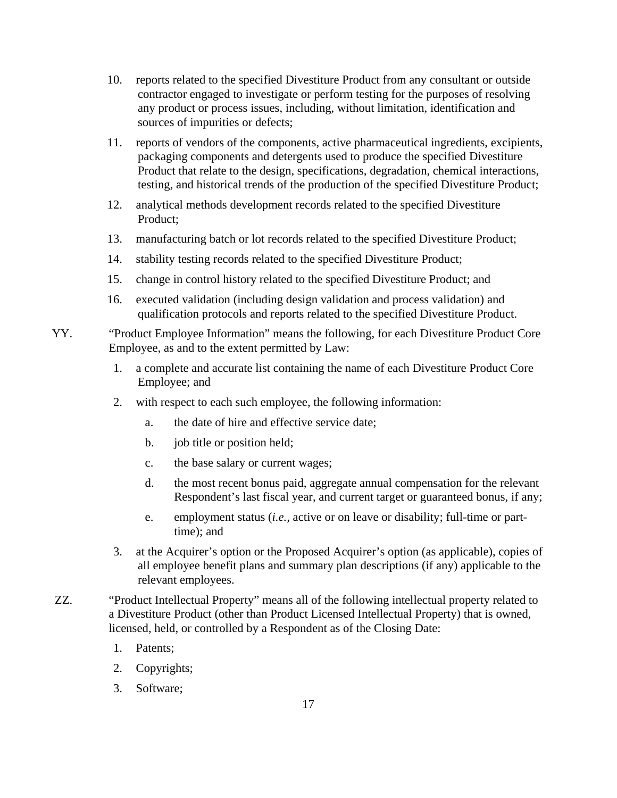- 10. reports related to the specified Divestiture Product from any consultant or outside contractor engaged to investigate or perform testing for the purposes of resolving any product or process issues, including, without limitation, identification and sources of impurities or defects;
- 11. reports of vendors of the components, active pharmaceutical ingredients, excipients, packaging components and detergents used to produce the specified Divestiture Product that relate to the design, specifications, degradation, chemical interactions, testing, and historical trends of the production of the specified Divestiture Product;
- 12. analytical methods development records related to the specified Divestiture Product;
- 13. manufacturing batch or lot records related to the specified Divestiture Product;
- 14. stability testing records related to the specified Divestiture Product;
- 15. change in control history related to the specified Divestiture Product; and
- 16. executed validation (including design validation and process validation) and qualification protocols and reports related to the specified Divestiture Product.
- YY. "Product Employee Information" means the following, for each Divestiture Product Core Employee, as and to the extent permitted by Law:
	- 1. a complete and accurate list containing the name of each Divestiture Product Core Employee; and
	- 2. with respect to each such employee, the following information:
		- a. the date of hire and effective service date;
		- b. job title or position held;
		- c. the base salary or current wages;
		- d. the most recent bonus paid, aggregate annual compensation for the relevant Respondent's last fiscal year, and current target or guaranteed bonus, if any;
		- e. employment status (*i.e.,* active or on leave or disability; full-time or parttime); and
	- 3. at the Acquirer's option or the Proposed Acquirer's option (as applicable), copies of all employee benefit plans and summary plan descriptions (if any) applicable to the relevant employees.
- ZZ. "Product Intellectual Property" means all of the following intellectual property related to a Divestiture Product (other than Product Licensed Intellectual Property) that is owned, licensed, held, or controlled by a Respondent as of the Closing Date:
	- 1. Patents;
	- 2. Copyrights;
	- 3. Software;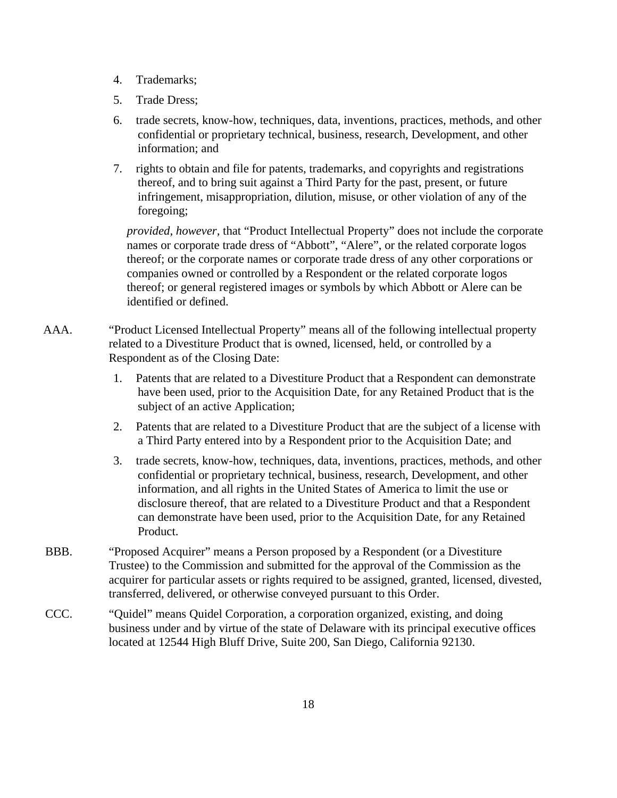- 4. Trademarks;
- 5. Trade Dress;
- 6. trade secrets, know-how, techniques, data, inventions, practices, methods, and other confidential or proprietary technical, business, research, Development, and other information; and
- 7. rights to obtain and file for patents, trademarks, and copyrights and registrations thereof, and to bring suit against a Third Party for the past, present, or future infringement, misappropriation, dilution, misuse, or other violation of any of the foregoing;

*provided, however,* that "Product Intellectual Property" does not include the corporate names or corporate trade dress of "Abbott", "Alere", or the related corporate logos thereof; or the corporate names or corporate trade dress of any other corporations or companies owned or controlled by a Respondent or the related corporate logos thereof; or general registered images or symbols by which Abbott or Alere can be identified or defined.

- AAA. "Product Licensed Intellectual Property" means all of the following intellectual property related to a Divestiture Product that is owned, licensed, held, or controlled by a Respondent as of the Closing Date:
	- 1. Patents that are related to a Divestiture Product that a Respondent can demonstrate have been used, prior to the Acquisition Date, for any Retained Product that is the subject of an active Application;
	- 2. Patents that are related to a Divestiture Product that are the subject of a license with a Third Party entered into by a Respondent prior to the Acquisition Date; and
	- 3. trade secrets, know-how, techniques, data, inventions, practices, methods, and other confidential or proprietary technical, business, research, Development, and other information, and all rights in the United States of America to limit the use or disclosure thereof, that are related to a Divestiture Product and that a Respondent can demonstrate have been used, prior to the Acquisition Date, for any Retained Product.
- BBB. "Proposed Acquirer" means a Person proposed by a Respondent (or a Divestiture Trustee) to the Commission and submitted for the approval of the Commission as the acquirer for particular assets or rights required to be assigned, granted, licensed, divested, transferred, delivered, or otherwise conveyed pursuant to this Order.
- CCC. "Quidel" means Quidel Corporation, a corporation organized, existing, and doing business under and by virtue of the state of Delaware with its principal executive offices located at 12544 High Bluff Drive, Suite 200, San Diego, California 92130.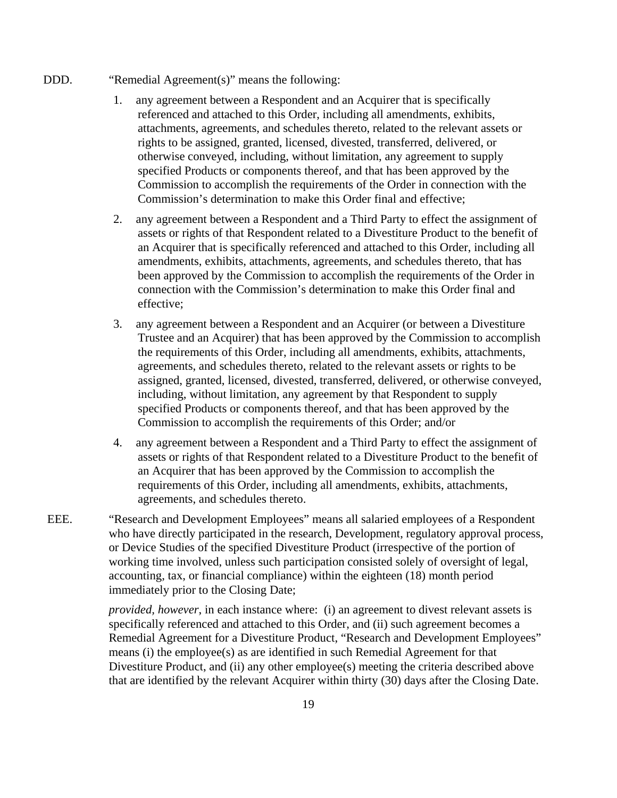#### DDD. "Remedial Agreement(s)" means the following:

- 1. any agreement between a Respondent and an Acquirer that is specifically referenced and attached to this Order, including all amendments, exhibits, attachments, agreements, and schedules thereto, related to the relevant assets or rights to be assigned, granted, licensed, divested, transferred, delivered, or otherwise conveyed, including, without limitation, any agreement to supply specified Products or components thereof, and that has been approved by the Commission to accomplish the requirements of the Order in connection with the Commission's determination to make this Order final and effective;
- 2. any agreement between a Respondent and a Third Party to effect the assignment of assets or rights of that Respondent related to a Divestiture Product to the benefit of an Acquirer that is specifically referenced and attached to this Order, including all amendments, exhibits, attachments, agreements, and schedules thereto, that has been approved by the Commission to accomplish the requirements of the Order in connection with the Commission's determination to make this Order final and effective;
- 3. any agreement between a Respondent and an Acquirer (or between a Divestiture Trustee and an Acquirer) that has been approved by the Commission to accomplish the requirements of this Order, including all amendments, exhibits, attachments, agreements, and schedules thereto, related to the relevant assets or rights to be assigned, granted, licensed, divested, transferred, delivered, or otherwise conveyed, including, without limitation, any agreement by that Respondent to supply specified Products or components thereof, and that has been approved by the Commission to accomplish the requirements of this Order; and/or
- 4. any agreement between a Respondent and a Third Party to effect the assignment of assets or rights of that Respondent related to a Divestiture Product to the benefit of an Acquirer that has been approved by the Commission to accomplish the requirements of this Order, including all amendments, exhibits, attachments, agreements, and schedules thereto.
- EEE. "Research and Development Employees" means all salaried employees of a Respondent who have directly participated in the research, Development, regulatory approval process, or Device Studies of the specified Divestiture Product (irrespective of the portion of working time involved, unless such participation consisted solely of oversight of legal, accounting, tax, or financial compliance) within the eighteen (18) month period immediately prior to the Closing Date;

*provided, however*, in each instance where: (i) an agreement to divest relevant assets is specifically referenced and attached to this Order, and (ii) such agreement becomes a Remedial Agreement for a Divestiture Product, "Research and Development Employees" means (i) the employee(s) as are identified in such Remedial Agreement for that Divestiture Product, and (ii) any other employee(s) meeting the criteria described above that are identified by the relevant Acquirer within thirty (30) days after the Closing Date.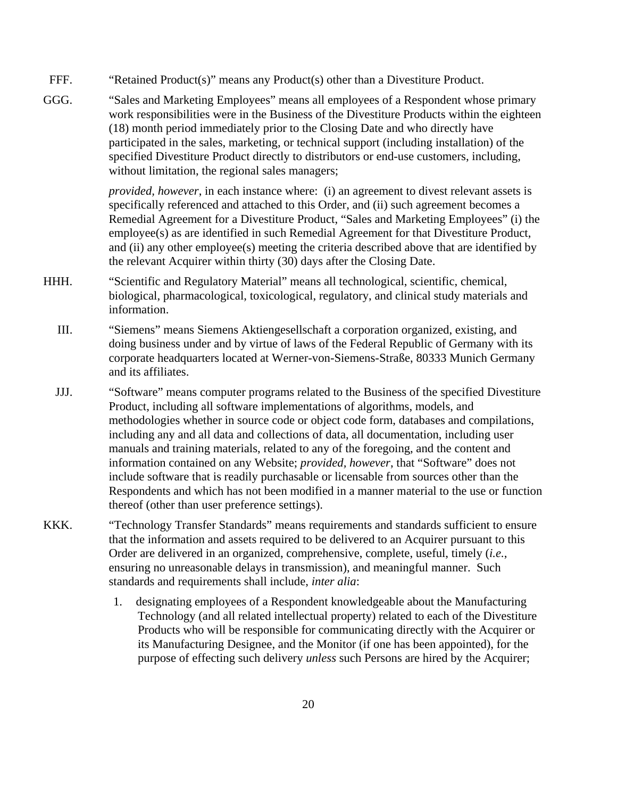- FFF. "Retained Product(s)" means any Product(s) other than a Divestiture Product.
- GGG. "Sales and Marketing Employees" means all employees of a Respondent whose primary work responsibilities were in the Business of the Divestiture Products within the eighteen (18) month period immediately prior to the Closing Date and who directly have participated in the sales, marketing, or technical support (including installation) of the specified Divestiture Product directly to distributors or end-use customers, including, without limitation, the regional sales managers;

*provided, however*, in each instance where: (i) an agreement to divest relevant assets is specifically referenced and attached to this Order, and (ii) such agreement becomes a Remedial Agreement for a Divestiture Product, "Sales and Marketing Employees" (i) the employee(s) as are identified in such Remedial Agreement for that Divestiture Product, and (ii) any other employee(s) meeting the criteria described above that are identified by the relevant Acquirer within thirty (30) days after the Closing Date.

- HHH. "Scientific and Regulatory Material" means all technological, scientific, chemical, biological, pharmacological, toxicological, regulatory, and clinical study materials and information.
	- III. "Siemens" means Siemens Aktiengesellschaft a corporation organized, existing, and doing business under and by virtue of laws of the Federal Republic of Germany with its corporate headquarters located at Werner-von-Siemens-Straße, 80333 Munich Germany and its affiliates.
	- JJJ. "Software" means computer programs related to the Business of the specified Divestiture Product, including all software implementations of algorithms, models, and methodologies whether in source code or object code form, databases and compilations, including any and all data and collections of data, all documentation, including user manuals and training materials, related to any of the foregoing, and the content and information contained on any Website; *provided, however*, that "Software" does not include software that is readily purchasable or licensable from sources other than the Respondents and which has not been modified in a manner material to the use or function thereof (other than user preference settings).
- KKK. "Technology Transfer Standards" means requirements and standards sufficient to ensure that the information and assets required to be delivered to an Acquirer pursuant to this Order are delivered in an organized, comprehensive, complete, useful, timely (*i.e.*, ensuring no unreasonable delays in transmission), and meaningful manner. Such standards and requirements shall include, *inter alia*:
	- 1. designating employees of a Respondent knowledgeable about the Manufacturing Technology (and all related intellectual property) related to each of the Divestiture Products who will be responsible for communicating directly with the Acquirer or its Manufacturing Designee, and the Monitor (if one has been appointed), for the purpose of effecting such delivery *unless* such Persons are hired by the Acquirer;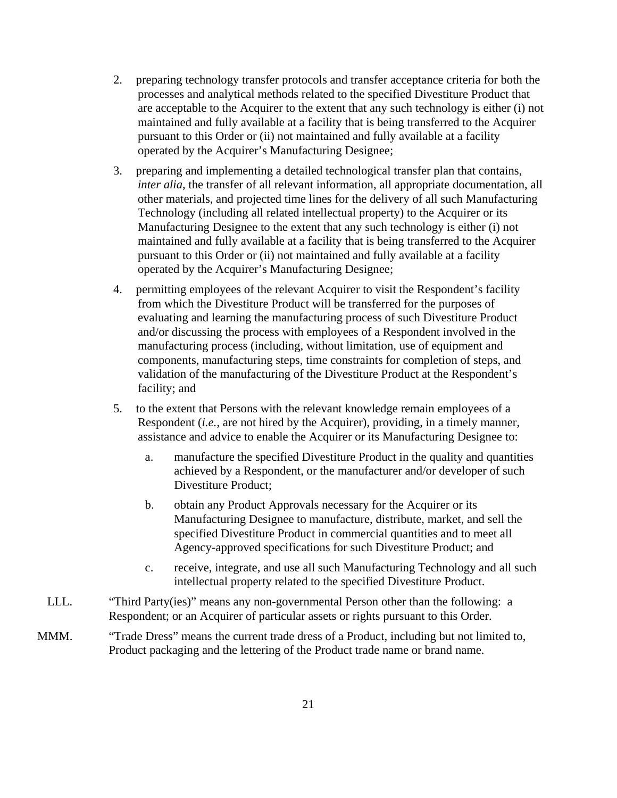- 2. preparing technology transfer protocols and transfer acceptance criteria for both the processes and analytical methods related to the specified Divestiture Product that are acceptable to the Acquirer to the extent that any such technology is either (i) not maintained and fully available at a facility that is being transferred to the Acquirer pursuant to this Order or (ii) not maintained and fully available at a facility operated by the Acquirer's Manufacturing Designee;
- 3. preparing and implementing a detailed technological transfer plan that contains, *inter alia*, the transfer of all relevant information, all appropriate documentation, all other materials, and projected time lines for the delivery of all such Manufacturing Technology (including all related intellectual property) to the Acquirer or its Manufacturing Designee to the extent that any such technology is either (i) not maintained and fully available at a facility that is being transferred to the Acquirer pursuant to this Order or (ii) not maintained and fully available at a facility operated by the Acquirer's Manufacturing Designee;
- 4. permitting employees of the relevant Acquirer to visit the Respondent's facility from which the Divestiture Product will be transferred for the purposes of evaluating and learning the manufacturing process of such Divestiture Product and/or discussing the process with employees of a Respondent involved in the manufacturing process (including, without limitation, use of equipment and components, manufacturing steps, time constraints for completion of steps, and validation of the manufacturing of the Divestiture Product at the Respondent's facility; and
- 5. to the extent that Persons with the relevant knowledge remain employees of a Respondent (*i.e.*, are not hired by the Acquirer), providing, in a timely manner, assistance and advice to enable the Acquirer or its Manufacturing Designee to:
	- a. manufacture the specified Divestiture Product in the quality and quantities achieved by a Respondent, or the manufacturer and/or developer of such Divestiture Product;
	- b. obtain any Product Approvals necessary for the Acquirer or its Manufacturing Designee to manufacture, distribute, market, and sell the specified Divestiture Product in commercial quantities and to meet all Agency-approved specifications for such Divestiture Product; and
	- c. receive, integrate, and use all such Manufacturing Technology and all such intellectual property related to the specified Divestiture Product.
- LLL. "Third Party(ies)" means any non-governmental Person other than the following: a Respondent; or an Acquirer of particular assets or rights pursuant to this Order.
- MMM. "Trade Dress" means the current trade dress of a Product, including but not limited to, Product packaging and the lettering of the Product trade name or brand name.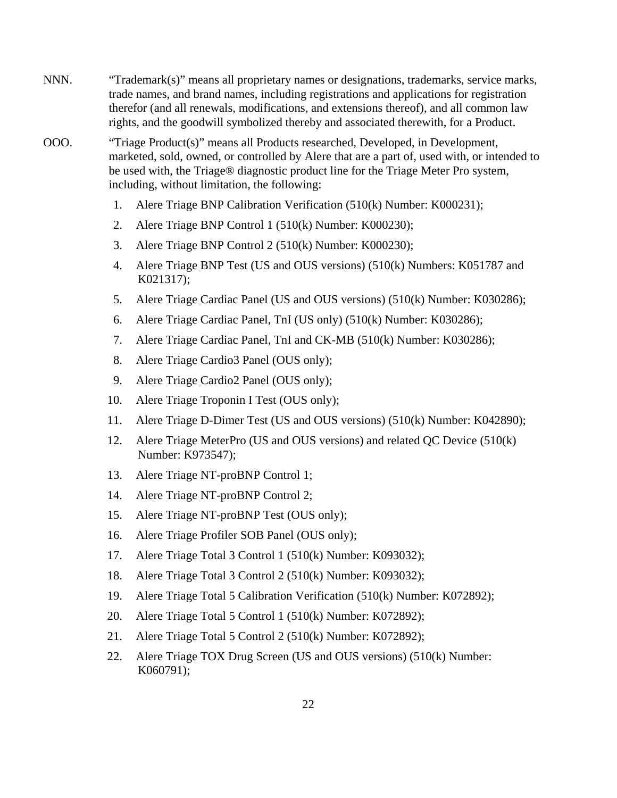- NNN. "Trademark(s)" means all proprietary names or designations, trademarks, service marks, trade names, and brand names, including registrations and applications for registration therefor (and all renewals, modifications, and extensions thereof), and all common law rights, and the goodwill symbolized thereby and associated therewith, for a Product.
- OOO. "Triage Product(s)" means all Products researched, Developed, in Development, marketed, sold, owned, or controlled by Alere that are a part of, used with, or intended to be used with, the Triage® diagnostic product line for the Triage Meter Pro system, including, without limitation, the following:
	- 1. Alere Triage BNP Calibration Verification (510(k) Number: K000231);
	- 2. Alere Triage BNP Control 1 (510(k) Number: K000230);
	- 3. Alere Triage BNP Control 2 (510(k) Number: K000230);
	- 4. Alere Triage BNP Test (US and OUS versions) (510(k) Numbers: K051787 and K021317);
	- 5. Alere Triage Cardiac Panel (US and OUS versions) (510(k) Number: K030286);
	- 6. Alere Triage Cardiac Panel, TnI (US only) (510(k) Number: K030286);
	- 7. Alere Triage Cardiac Panel, TnI and CK-MB (510(k) Number: K030286);
	- 8. Alere Triage Cardio3 Panel (OUS only);
	- 9. Alere Triage Cardio2 Panel (OUS only);
	- 10. Alere Triage Troponin I Test (OUS only);
	- 11. Alere Triage D-Dimer Test (US and OUS versions) (510(k) Number: K042890);
	- 12. Alere Triage MeterPro (US and OUS versions) and related QC Device (510(k) Number: K973547);
	- 13. Alere Triage NT-proBNP Control 1;
	- 14. Alere Triage NT-proBNP Control 2;
	- 15. Alere Triage NT-proBNP Test (OUS only);
	- 16. Alere Triage Profiler SOB Panel (OUS only);
	- 17. Alere Triage Total 3 Control 1 (510(k) Number: K093032);
	- 18. Alere Triage Total 3 Control 2 (510(k) Number: K093032);
	- 19. Alere Triage Total 5 Calibration Verification (510(k) Number: K072892);
	- 20. Alere Triage Total 5 Control 1 (510(k) Number: K072892);
	- 21. Alere Triage Total 5 Control 2 (510(k) Number: K072892);
	- 22. Alere Triage TOX Drug Screen (US and OUS versions) (510(k) Number: K060791);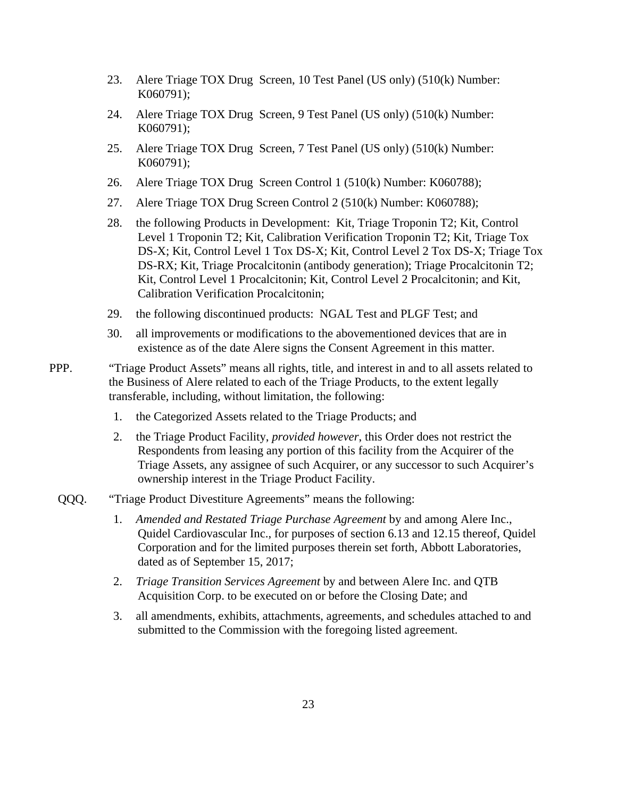- 23. Alere Triage TOX Drug Screen, 10 Test Panel (US only) (510(k) Number: K060791);
- 24. Alere Triage TOX Drug Screen, 9 Test Panel (US only) (510(k) Number: K060791);
- 25. Alere Triage TOX Drug Screen, 7 Test Panel (US only) (510(k) Number: K060791);
- 26. Alere Triage TOX Drug Screen Control 1 (510(k) Number: K060788);
- 27. Alere Triage TOX Drug Screen Control 2 (510(k) Number: K060788);
- 28. the following Products in Development: Kit, Triage Troponin T2; Kit, Control Level 1 Troponin T2; Kit, Calibration Verification Troponin T2; Kit, Triage Tox DS-X; Kit, Control Level 1 Tox DS-X; Kit, Control Level 2 Tox DS-X; Triage Tox DS-RX; Kit, Triage Procalcitonin (antibody generation); Triage Procalcitonin T2; Kit, Control Level 1 Procalcitonin; Kit, Control Level 2 Procalcitonin; and Kit, Calibration Verification Procalcitonin;
- 29. the following discontinued products: NGAL Test and PLGF Test; and
- 30. all improvements or modifications to the abovementioned devices that are in existence as of the date Alere signs the Consent Agreement in this matter.
- PPP. "Triage Product Assets" means all rights, title, and interest in and to all assets related to the Business of Alere related to each of the Triage Products, to the extent legally transferable, including, without limitation, the following:
	- 1. the Categorized Assets related to the Triage Products; and
	- 2. the Triage Product Facility, *provided however*, this Order does not restrict the Respondents from leasing any portion of this facility from the Acquirer of the Triage Assets, any assignee of such Acquirer, or any successor to such Acquirer's ownership interest in the Triage Product Facility.
	- QQQ. "Triage Product Divestiture Agreements" means the following:
		- 1. *Amended and Restated Triage Purchase Agreement* by and among Alere Inc., Quidel Cardiovascular Inc., for purposes of section 6.13 and 12.15 thereof, Quidel Corporation and for the limited purposes therein set forth, Abbott Laboratories, dated as of September 15, 2017;
		- 2. *Triage Transition Services Agreement* by and between Alere Inc. and QTB Acquisition Corp. to be executed on or before the Closing Date; and
		- 3. all amendments, exhibits, attachments, agreements, and schedules attached to and submitted to the Commission with the foregoing listed agreement.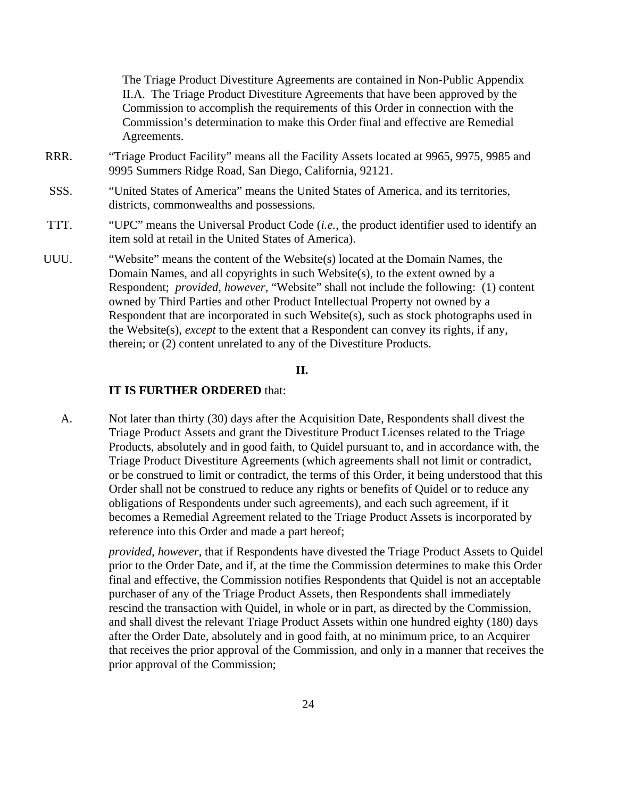The Triage Product Divestiture Agreements are contained in Non-Public Appendix II.A. The Triage Product Divestiture Agreements that have been approved by the Commission to accomplish the requirements of this Order in connection with the Commission's determination to make this Order final and effective are Remedial Agreements.

- RRR. "Triage Product Facility" means all the Facility Assets located at 9965, 9975, 9985 and 9995 Summers Ridge Road, San Diego, California, 92121.
- SSS. "United States of America" means the United States of America, and its territories, districts, commonwealths and possessions.
- TTT. "UPC" means the Universal Product Code (*i.e.*, the product identifier used to identify an item sold at retail in the United States of America).
- UUU. "Website" means the content of the Website(s) located at the Domain Names, the Domain Names, and all copyrights in such Website(s), to the extent owned by a Respondent; *provided, however,* "Website" shall not include the following: (1) content owned by Third Parties and other Product Intellectual Property not owned by a Respondent that are incorporated in such Website(s), such as stock photographs used in the Website(s), *except* to the extent that a Respondent can convey its rights, if any, therein; or (2) content unrelated to any of the Divestiture Products.

#### **II.**

### **IT IS FURTHER ORDERED** that:

A. Not later than thirty (30) days after the Acquisition Date, Respondents shall divest the Triage Product Assets and grant the Divestiture Product Licenses related to the Triage Products, absolutely and in good faith, to Quidel pursuant to, and in accordance with, the Triage Product Divestiture Agreements (which agreements shall not limit or contradict, or be construed to limit or contradict, the terms of this Order, it being understood that this Order shall not be construed to reduce any rights or benefits of Quidel or to reduce any obligations of Respondents under such agreements), and each such agreement, if it becomes a Remedial Agreement related to the Triage Product Assets is incorporated by reference into this Order and made a part hereof;

*provided, however*, that if Respondents have divested the Triage Product Assets to Quidel prior to the Order Date, and if, at the time the Commission determines to make this Order final and effective, the Commission notifies Respondents that Quidel is not an acceptable purchaser of any of the Triage Product Assets, then Respondents shall immediately rescind the transaction with Quidel, in whole or in part, as directed by the Commission, and shall divest the relevant Triage Product Assets within one hundred eighty (180) days after the Order Date, absolutely and in good faith, at no minimum price, to an Acquirer that receives the prior approval of the Commission, and only in a manner that receives the prior approval of the Commission;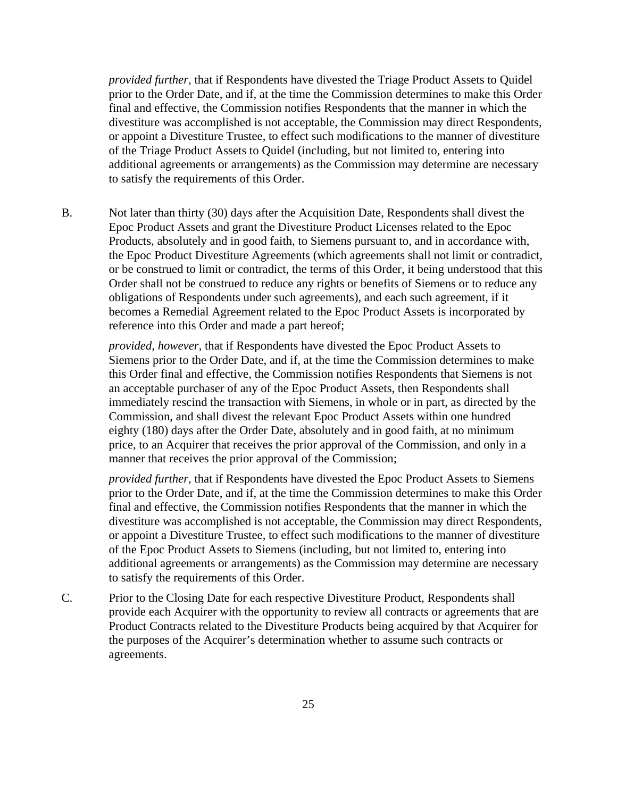*provided further,* that if Respondents have divested the Triage Product Assets to Quidel prior to the Order Date, and if, at the time the Commission determines to make this Order final and effective, the Commission notifies Respondents that the manner in which the divestiture was accomplished is not acceptable, the Commission may direct Respondents, or appoint a Divestiture Trustee, to effect such modifications to the manner of divestiture of the Triage Product Assets to Quidel (including, but not limited to, entering into additional agreements or arrangements) as the Commission may determine are necessary to satisfy the requirements of this Order.

B. Not later than thirty (30) days after the Acquisition Date, Respondents shall divest the Epoc Product Assets and grant the Divestiture Product Licenses related to the Epoc Products, absolutely and in good faith, to Siemens pursuant to, and in accordance with, the Epoc Product Divestiture Agreements (which agreements shall not limit or contradict, or be construed to limit or contradict, the terms of this Order, it being understood that this Order shall not be construed to reduce any rights or benefits of Siemens or to reduce any obligations of Respondents under such agreements), and each such agreement, if it becomes a Remedial Agreement related to the Epoc Product Assets is incorporated by reference into this Order and made a part hereof;

*provided, however*, that if Respondents have divested the Epoc Product Assets to Siemens prior to the Order Date, and if, at the time the Commission determines to make this Order final and effective, the Commission notifies Respondents that Siemens is not an acceptable purchaser of any of the Epoc Product Assets, then Respondents shall immediately rescind the transaction with Siemens, in whole or in part, as directed by the Commission, and shall divest the relevant Epoc Product Assets within one hundred eighty (180) days after the Order Date, absolutely and in good faith, at no minimum price, to an Acquirer that receives the prior approval of the Commission, and only in a manner that receives the prior approval of the Commission;

*provided further,* that if Respondents have divested the Epoc Product Assets to Siemens prior to the Order Date, and if, at the time the Commission determines to make this Order final and effective, the Commission notifies Respondents that the manner in which the divestiture was accomplished is not acceptable, the Commission may direct Respondents, or appoint a Divestiture Trustee, to effect such modifications to the manner of divestiture of the Epoc Product Assets to Siemens (including, but not limited to, entering into additional agreements or arrangements) as the Commission may determine are necessary to satisfy the requirements of this Order.

C. Prior to the Closing Date for each respective Divestiture Product, Respondents shall provide each Acquirer with the opportunity to review all contracts or agreements that are Product Contracts related to the Divestiture Products being acquired by that Acquirer for the purposes of the Acquirer's determination whether to assume such contracts or agreements.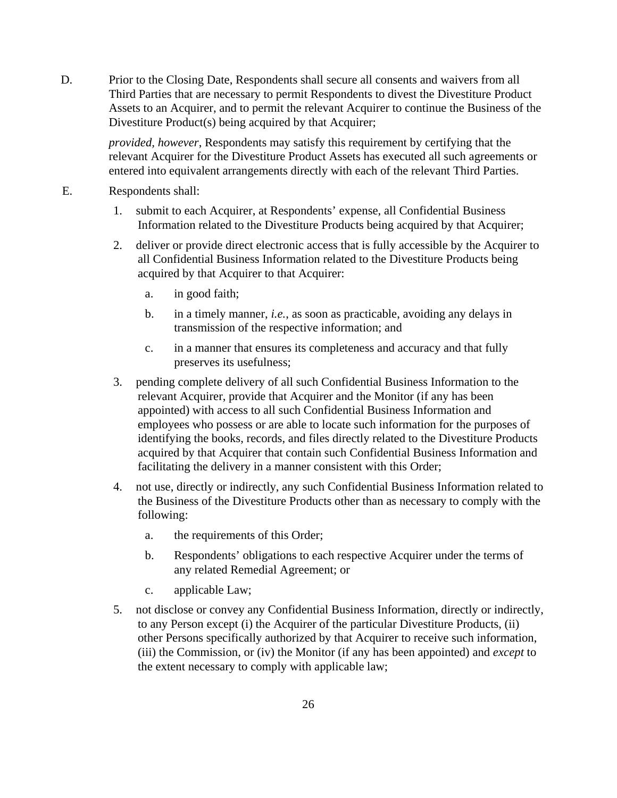D. Prior to the Closing Date, Respondents shall secure all consents and waivers from all Third Parties that are necessary to permit Respondents to divest the Divestiture Product Assets to an Acquirer, and to permit the relevant Acquirer to continue the Business of the Divestiture Product(s) being acquired by that Acquirer;

*provided, however*, Respondents may satisfy this requirement by certifying that the relevant Acquirer for the Divestiture Product Assets has executed all such agreements or entered into equivalent arrangements directly with each of the relevant Third Parties.

- E. Respondents shall:
	- 1. submit to each Acquirer, at Respondents' expense, all Confidential Business Information related to the Divestiture Products being acquired by that Acquirer;
	- 2. deliver or provide direct electronic access that is fully accessible by the Acquirer to all Confidential Business Information related to the Divestiture Products being acquired by that Acquirer to that Acquirer:
		- a. in good faith;
		- b. in a timely manner, *i.e.*, as soon as practicable, avoiding any delays in transmission of the respective information; and
		- c. in a manner that ensures its completeness and accuracy and that fully preserves its usefulness;
	- 3. pending complete delivery of all such Confidential Business Information to the relevant Acquirer, provide that Acquirer and the Monitor (if any has been appointed) with access to all such Confidential Business Information and employees who possess or are able to locate such information for the purposes of identifying the books, records, and files directly related to the Divestiture Products acquired by that Acquirer that contain such Confidential Business Information and facilitating the delivery in a manner consistent with this Order;
	- 4. not use, directly or indirectly, any such Confidential Business Information related to the Business of the Divestiture Products other than as necessary to comply with the following:
		- a. the requirements of this Order;
		- b. Respondents' obligations to each respective Acquirer under the terms of any related Remedial Agreement; or
		- c. applicable Law;
	- 5. not disclose or convey any Confidential Business Information, directly or indirectly, to any Person except (i) the Acquirer of the particular Divestiture Products, (ii) other Persons specifically authorized by that Acquirer to receive such information, (iii) the Commission, or (iv) the Monitor (if any has been appointed) and *except* to the extent necessary to comply with applicable law;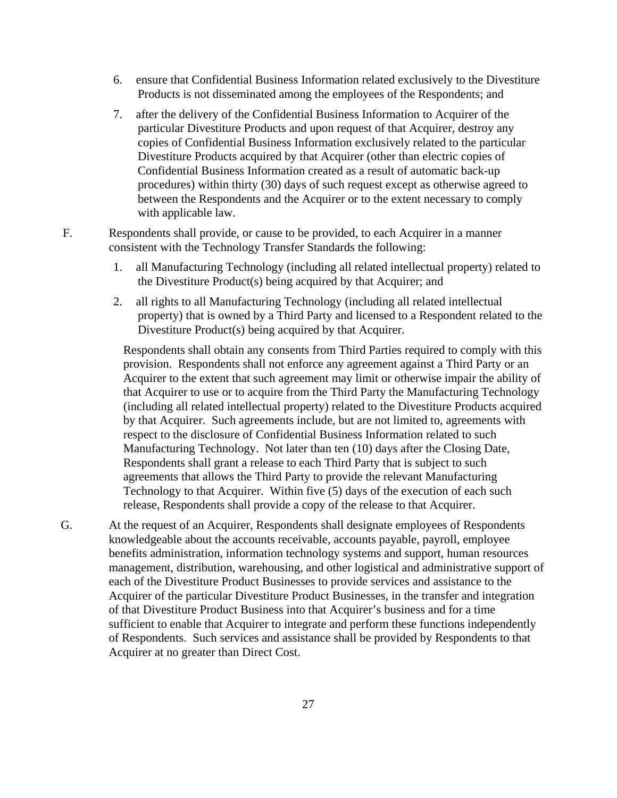- 6. ensure that Confidential Business Information related exclusively to the Divestiture Products is not disseminated among the employees of the Respondents; and
- 7. after the delivery of the Confidential Business Information to Acquirer of the particular Divestiture Products and upon request of that Acquirer, destroy any copies of Confidential Business Information exclusively related to the particular Divestiture Products acquired by that Acquirer (other than electric copies of Confidential Business Information created as a result of automatic back-up procedures) within thirty (30) days of such request except as otherwise agreed to between the Respondents and the Acquirer or to the extent necessary to comply with applicable law.
- F. Respondents shall provide, or cause to be provided, to each Acquirer in a manner consistent with the Technology Transfer Standards the following:
	- 1. all Manufacturing Technology (including all related intellectual property) related to the Divestiture Product(s) being acquired by that Acquirer; and
	- 2. all rights to all Manufacturing Technology (including all related intellectual property) that is owned by a Third Party and licensed to a Respondent related to the Divestiture Product(s) being acquired by that Acquirer.

Respondents shall obtain any consents from Third Parties required to comply with this provision. Respondents shall not enforce any agreement against a Third Party or an Acquirer to the extent that such agreement may limit or otherwise impair the ability of that Acquirer to use or to acquire from the Third Party the Manufacturing Technology (including all related intellectual property) related to the Divestiture Products acquired by that Acquirer. Such agreements include, but are not limited to, agreements with respect to the disclosure of Confidential Business Information related to such Manufacturing Technology. Not later than ten (10) days after the Closing Date, Respondents shall grant a release to each Third Party that is subject to such agreements that allows the Third Party to provide the relevant Manufacturing Technology to that Acquirer. Within five (5) days of the execution of each such release, Respondents shall provide a copy of the release to that Acquirer.

G. At the request of an Acquirer, Respondents shall designate employees of Respondents knowledgeable about the accounts receivable, accounts payable, payroll, employee benefits administration, information technology systems and support, human resources management, distribution, warehousing, and other logistical and administrative support of each of the Divestiture Product Businesses to provide services and assistance to the Acquirer of the particular Divestiture Product Businesses, in the transfer and integration of that Divestiture Product Business into that Acquirer's business and for a time sufficient to enable that Acquirer to integrate and perform these functions independently of Respondents. Such services and assistance shall be provided by Respondents to that Acquirer at no greater than Direct Cost.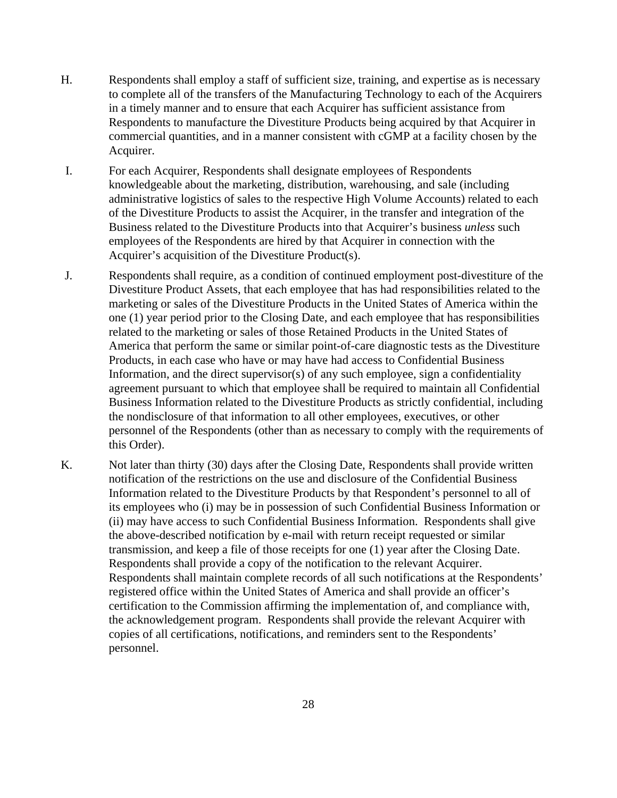- H. Respondents shall employ a staff of sufficient size, training, and expertise as is necessary to complete all of the transfers of the Manufacturing Technology to each of the Acquirers in a timely manner and to ensure that each Acquirer has sufficient assistance from Respondents to manufacture the Divestiture Products being acquired by that Acquirer in commercial quantities, and in a manner consistent with cGMP at a facility chosen by the Acquirer.
- I. For each Acquirer, Respondents shall designate employees of Respondents knowledgeable about the marketing, distribution, warehousing, and sale (including administrative logistics of sales to the respective High Volume Accounts) related to each of the Divestiture Products to assist the Acquirer, in the transfer and integration of the Business related to the Divestiture Products into that Acquirer's business *unless* such employees of the Respondents are hired by that Acquirer in connection with the Acquirer's acquisition of the Divestiture Product(s).
- J. Respondents shall require, as a condition of continued employment post-divestiture of the Divestiture Product Assets, that each employee that has had responsibilities related to the marketing or sales of the Divestiture Products in the United States of America within the one (1) year period prior to the Closing Date, and each employee that has responsibilities related to the marketing or sales of those Retained Products in the United States of America that perform the same or similar point-of-care diagnostic tests as the Divestiture Products, in each case who have or may have had access to Confidential Business Information, and the direct supervisor(s) of any such employee, sign a confidentiality agreement pursuant to which that employee shall be required to maintain all Confidential Business Information related to the Divestiture Products as strictly confidential, including the nondisclosure of that information to all other employees, executives, or other personnel of the Respondents (other than as necessary to comply with the requirements of this Order).
- K. Not later than thirty (30) days after the Closing Date, Respondents shall provide written notification of the restrictions on the use and disclosure of the Confidential Business Information related to the Divestiture Products by that Respondent's personnel to all of its employees who (i) may be in possession of such Confidential Business Information or (ii) may have access to such Confidential Business Information. Respondents shall give the above-described notification by e-mail with return receipt requested or similar transmission, and keep a file of those receipts for one (1) year after the Closing Date. Respondents shall provide a copy of the notification to the relevant Acquirer. Respondents shall maintain complete records of all such notifications at the Respondents' registered office within the United States of America and shall provide an officer's certification to the Commission affirming the implementation of, and compliance with, the acknowledgement program. Respondents shall provide the relevant Acquirer with copies of all certifications, notifications, and reminders sent to the Respondents' personnel.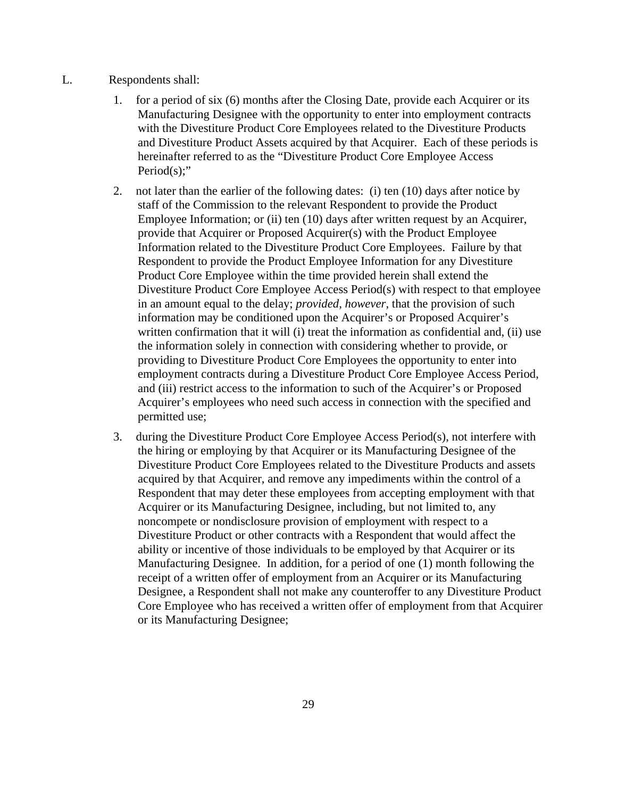- L. Respondents shall:
	- 1. for a period of six (6) months after the Closing Date, provide each Acquirer or its Manufacturing Designee with the opportunity to enter into employment contracts with the Divestiture Product Core Employees related to the Divestiture Products and Divestiture Product Assets acquired by that Acquirer. Each of these periods is hereinafter referred to as the "Divestiture Product Core Employee Access Period(s);"
	- 2. not later than the earlier of the following dates: (i) ten (10) days after notice by staff of the Commission to the relevant Respondent to provide the Product Employee Information; or (ii) ten (10) days after written request by an Acquirer, provide that Acquirer or Proposed Acquirer(s) with the Product Employee Information related to the Divestiture Product Core Employees. Failure by that Respondent to provide the Product Employee Information for any Divestiture Product Core Employee within the time provided herein shall extend the Divestiture Product Core Employee Access Period(s) with respect to that employee in an amount equal to the delay; *provided, however*, that the provision of such information may be conditioned upon the Acquirer's or Proposed Acquirer's written confirmation that it will (i) treat the information as confidential and, (ii) use the information solely in connection with considering whether to provide, or providing to Divestiture Product Core Employees the opportunity to enter into employment contracts during a Divestiture Product Core Employee Access Period, and (iii) restrict access to the information to such of the Acquirer's or Proposed Acquirer's employees who need such access in connection with the specified and permitted use;
	- 3. during the Divestiture Product Core Employee Access Period(s), not interfere with the hiring or employing by that Acquirer or its Manufacturing Designee of the Divestiture Product Core Employees related to the Divestiture Products and assets acquired by that Acquirer, and remove any impediments within the control of a Respondent that may deter these employees from accepting employment with that Acquirer or its Manufacturing Designee, including, but not limited to, any noncompete or nondisclosure provision of employment with respect to a Divestiture Product or other contracts with a Respondent that would affect the ability or incentive of those individuals to be employed by that Acquirer or its Manufacturing Designee. In addition, for a period of one (1) month following the receipt of a written offer of employment from an Acquirer or its Manufacturing Designee, a Respondent shall not make any counteroffer to any Divestiture Product Core Employee who has received a written offer of employment from that Acquirer or its Manufacturing Designee;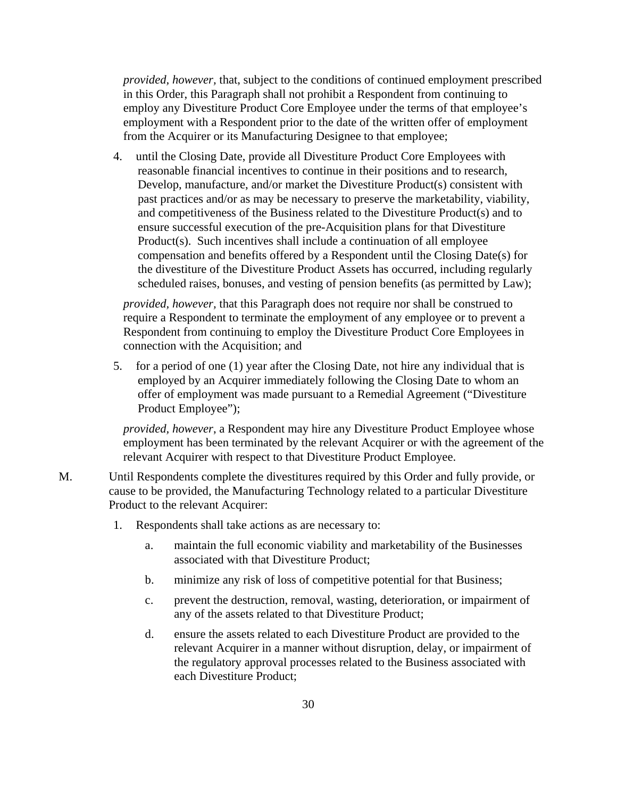*provided, however,* that, subject to the conditions of continued employment prescribed in this Order, this Paragraph shall not prohibit a Respondent from continuing to employ any Divestiture Product Core Employee under the terms of that employee's employment with a Respondent prior to the date of the written offer of employment from the Acquirer or its Manufacturing Designee to that employee;

4. until the Closing Date, provide all Divestiture Product Core Employees with reasonable financial incentives to continue in their positions and to research, Develop, manufacture, and/or market the Divestiture Product(s) consistent with past practices and/or as may be necessary to preserve the marketability, viability, and competitiveness of the Business related to the Divestiture Product(s) and to ensure successful execution of the pre-Acquisition plans for that Divestiture Product(s). Such incentives shall include a continuation of all employee compensation and benefits offered by a Respondent until the Closing Date(s) for the divestiture of the Divestiture Product Assets has occurred, including regularly scheduled raises, bonuses, and vesting of pension benefits (as permitted by Law);

*provided, however,* that this Paragraph does not require nor shall be construed to require a Respondent to terminate the employment of any employee or to prevent a Respondent from continuing to employ the Divestiture Product Core Employees in connection with the Acquisition; and

5. for a period of one (1) year after the Closing Date, not hire any individual that is employed by an Acquirer immediately following the Closing Date to whom an offer of employment was made pursuant to a Remedial Agreement ("Divestiture Product Employee");

*provided, however*, a Respondent may hire any Divestiture Product Employee whose employment has been terminated by the relevant Acquirer or with the agreement of the relevant Acquirer with respect to that Divestiture Product Employee.

- M. Until Respondents complete the divestitures required by this Order and fully provide, or cause to be provided, the Manufacturing Technology related to a particular Divestiture Product to the relevant Acquirer:
	- 1. Respondents shall take actions as are necessary to:
		- a. maintain the full economic viability and marketability of the Businesses associated with that Divestiture Product;
		- b. minimize any risk of loss of competitive potential for that Business;
		- c. prevent the destruction, removal, wasting, deterioration, or impairment of any of the assets related to that Divestiture Product;
		- d. ensure the assets related to each Divestiture Product are provided to the relevant Acquirer in a manner without disruption, delay, or impairment of the regulatory approval processes related to the Business associated with each Divestiture Product;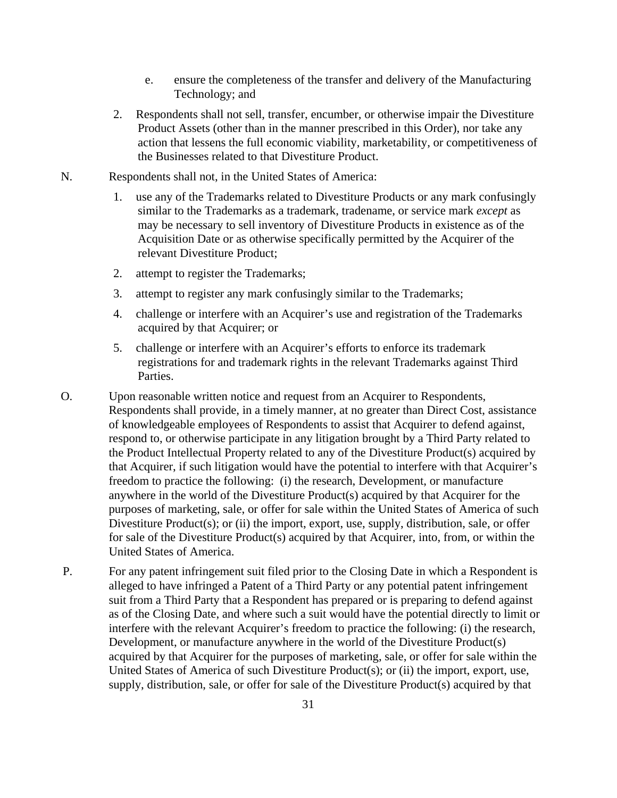- e. ensure the completeness of the transfer and delivery of the Manufacturing Technology; and
- 2. Respondents shall not sell, transfer, encumber, or otherwise impair the Divestiture Product Assets (other than in the manner prescribed in this Order), nor take any action that lessens the full economic viability, marketability, or competitiveness of the Businesses related to that Divestiture Product.
- N. Respondents shall not, in the United States of America:
	- 1. use any of the Trademarks related to Divestiture Products or any mark confusingly similar to the Trademarks as a trademark, tradename, or service mark *except* as may be necessary to sell inventory of Divestiture Products in existence as of the Acquisition Date or as otherwise specifically permitted by the Acquirer of the relevant Divestiture Product;
	- 2. attempt to register the Trademarks;
	- 3. attempt to register any mark confusingly similar to the Trademarks;
	- 4. challenge or interfere with an Acquirer's use and registration of the Trademarks acquired by that Acquirer; or
	- 5. challenge or interfere with an Acquirer's efforts to enforce its trademark registrations for and trademark rights in the relevant Trademarks against Third Parties.
- O. Upon reasonable written notice and request from an Acquirer to Respondents, Respondents shall provide, in a timely manner, at no greater than Direct Cost, assistance of knowledgeable employees of Respondents to assist that Acquirer to defend against, respond to, or otherwise participate in any litigation brought by a Third Party related to the Product Intellectual Property related to any of the Divestiture Product(s) acquired by that Acquirer, if such litigation would have the potential to interfere with that Acquirer's freedom to practice the following: (i) the research, Development, or manufacture anywhere in the world of the Divestiture Product(s) acquired by that Acquirer for the purposes of marketing, sale, or offer for sale within the United States of America of such Divestiture Product(s); or (ii) the import, export, use, supply, distribution, sale, or offer for sale of the Divestiture Product(s) acquired by that Acquirer, into, from, or within the United States of America.
- P. For any patent infringement suit filed prior to the Closing Date in which a Respondent is alleged to have infringed a Patent of a Third Party or any potential patent infringement suit from a Third Party that a Respondent has prepared or is preparing to defend against as of the Closing Date, and where such a suit would have the potential directly to limit or interfere with the relevant Acquirer's freedom to practice the following: (i) the research, Development, or manufacture anywhere in the world of the Divestiture Product(s) acquired by that Acquirer for the purposes of marketing, sale, or offer for sale within the United States of America of such Divestiture Product(s); or (ii) the import, export, use, supply, distribution, sale, or offer for sale of the Divestiture Product(s) acquired by that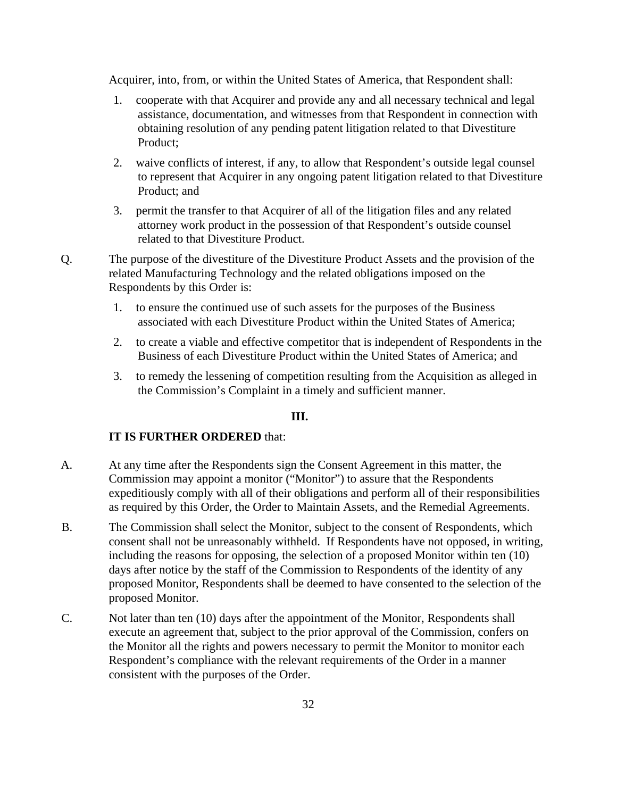Acquirer, into, from, or within the United States of America, that Respondent shall:

- 1. cooperate with that Acquirer and provide any and all necessary technical and legal assistance, documentation, and witnesses from that Respondent in connection with obtaining resolution of any pending patent litigation related to that Divestiture Product;
- 2. waive conflicts of interest, if any, to allow that Respondent's outside legal counsel to represent that Acquirer in any ongoing patent litigation related to that Divestiture Product; and
- 3. permit the transfer to that Acquirer of all of the litigation files and any related attorney work product in the possession of that Respondent's outside counsel related to that Divestiture Product.
- Q. The purpose of the divestiture of the Divestiture Product Assets and the provision of the related Manufacturing Technology and the related obligations imposed on the Respondents by this Order is:
	- 1. to ensure the continued use of such assets for the purposes of the Business associated with each Divestiture Product within the United States of America;
	- 2. to create a viable and effective competitor that is independent of Respondents in the Business of each Divestiture Product within the United States of America; and
	- 3. to remedy the lessening of competition resulting from the Acquisition as alleged in the Commission's Complaint in a timely and sufficient manner.

## **III.**

## **IT IS FURTHER ORDERED** that:

- A. At any time after the Respondents sign the Consent Agreement in this matter, the Commission may appoint a monitor ("Monitor") to assure that the Respondents expeditiously comply with all of their obligations and perform all of their responsibilities as required by this Order, the Order to Maintain Assets, and the Remedial Agreements.
- B. The Commission shall select the Monitor, subject to the consent of Respondents, which consent shall not be unreasonably withheld. If Respondents have not opposed, in writing, including the reasons for opposing, the selection of a proposed Monitor within ten (10) days after notice by the staff of the Commission to Respondents of the identity of any proposed Monitor, Respondents shall be deemed to have consented to the selection of the proposed Monitor.
- C. Not later than ten (10) days after the appointment of the Monitor, Respondents shall execute an agreement that, subject to the prior approval of the Commission, confers on the Monitor all the rights and powers necessary to permit the Monitor to monitor each Respondent's compliance with the relevant requirements of the Order in a manner consistent with the purposes of the Order.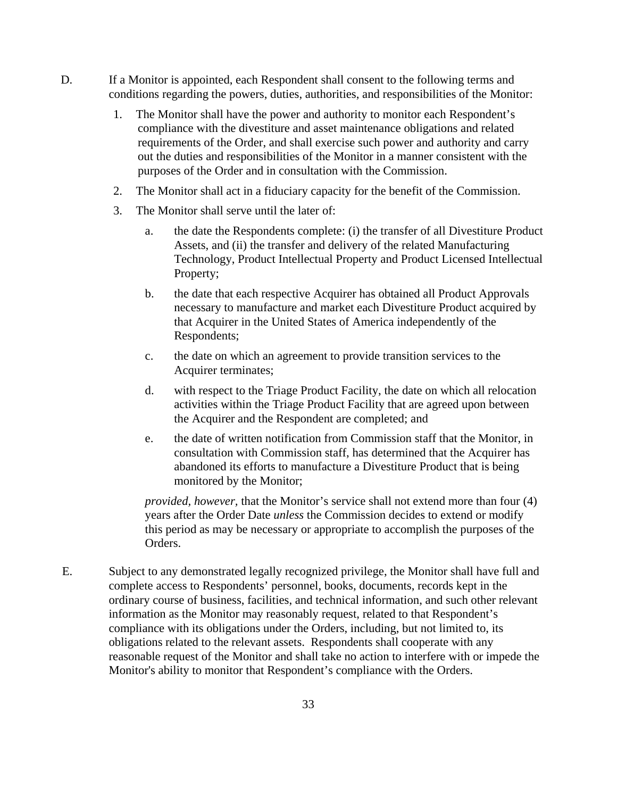- D. If a Monitor is appointed, each Respondent shall consent to the following terms and conditions regarding the powers, duties, authorities, and responsibilities of the Monitor:
	- 1. The Monitor shall have the power and authority to monitor each Respondent's compliance with the divestiture and asset maintenance obligations and related requirements of the Order, and shall exercise such power and authority and carry out the duties and responsibilities of the Monitor in a manner consistent with the purposes of the Order and in consultation with the Commission.
	- 2. The Monitor shall act in a fiduciary capacity for the benefit of the Commission.
	- 3. The Monitor shall serve until the later of:
		- a. the date the Respondents complete: (i) the transfer of all Divestiture Product Assets, and (ii) the transfer and delivery of the related Manufacturing Technology, Product Intellectual Property and Product Licensed Intellectual Property;
		- b. the date that each respective Acquirer has obtained all Product Approvals necessary to manufacture and market each Divestiture Product acquired by that Acquirer in the United States of America independently of the Respondents;
		- c. the date on which an agreement to provide transition services to the Acquirer terminates;
		- d. with respect to the Triage Product Facility, the date on which all relocation activities within the Triage Product Facility that are agreed upon between the Acquirer and the Respondent are completed; and
		- e. the date of written notification from Commission staff that the Monitor, in consultation with Commission staff, has determined that the Acquirer has abandoned its efforts to manufacture a Divestiture Product that is being monitored by the Monitor;

*provided, however,* that the Monitor's service shall not extend more than four (4) years after the Order Date *unless* the Commission decides to extend or modify this period as may be necessary or appropriate to accomplish the purposes of the Orders.

E. Subject to any demonstrated legally recognized privilege, the Monitor shall have full and complete access to Respondents' personnel, books, documents, records kept in the ordinary course of business, facilities, and technical information, and such other relevant information as the Monitor may reasonably request, related to that Respondent's compliance with its obligations under the Orders, including, but not limited to, its obligations related to the relevant assets. Respondents shall cooperate with any reasonable request of the Monitor and shall take no action to interfere with or impede the Monitor's ability to monitor that Respondent's compliance with the Orders.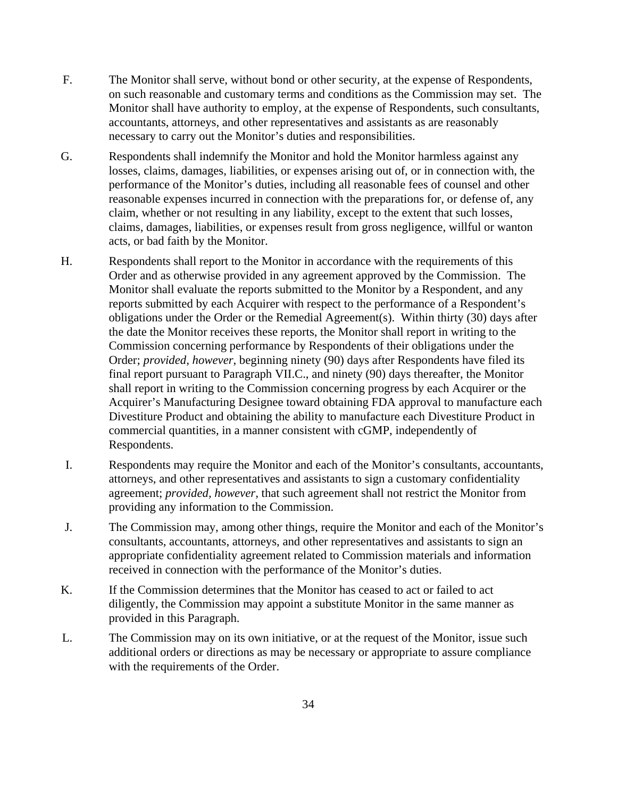- F. The Monitor shall serve, without bond or other security, at the expense of Respondents, on such reasonable and customary terms and conditions as the Commission may set. The Monitor shall have authority to employ, at the expense of Respondents, such consultants, accountants, attorneys, and other representatives and assistants as are reasonably necessary to carry out the Monitor's duties and responsibilities.
- G. Respondents shall indemnify the Monitor and hold the Monitor harmless against any losses, claims, damages, liabilities, or expenses arising out of, or in connection with, the performance of the Monitor's duties, including all reasonable fees of counsel and other reasonable expenses incurred in connection with the preparations for, or defense of, any claim, whether or not resulting in any liability, except to the extent that such losses, claims, damages, liabilities, or expenses result from gross negligence, willful or wanton acts, or bad faith by the Monitor.
- H. Respondents shall report to the Monitor in accordance with the requirements of this Order and as otherwise provided in any agreement approved by the Commission. The Monitor shall evaluate the reports submitted to the Monitor by a Respondent, and any reports submitted by each Acquirer with respect to the performance of a Respondent's obligations under the Order or the Remedial Agreement(s). Within thirty (30) days after the date the Monitor receives these reports, the Monitor shall report in writing to the Commission concerning performance by Respondents of their obligations under the Order; *provided, however*, beginning ninety (90) days after Respondents have filed its final report pursuant to Paragraph VII.C., and ninety (90) days thereafter, the Monitor shall report in writing to the Commission concerning progress by each Acquirer or the Acquirer's Manufacturing Designee toward obtaining FDA approval to manufacture each Divestiture Product and obtaining the ability to manufacture each Divestiture Product in commercial quantities, in a manner consistent with cGMP, independently of Respondents.
- I. Respondents may require the Monitor and each of the Monitor's consultants, accountants, attorneys, and other representatives and assistants to sign a customary confidentiality agreement; *provided, however,* that such agreement shall not restrict the Monitor from providing any information to the Commission.
- J. The Commission may, among other things, require the Monitor and each of the Monitor's consultants, accountants, attorneys, and other representatives and assistants to sign an appropriate confidentiality agreement related to Commission materials and information received in connection with the performance of the Monitor's duties.
- K. If the Commission determines that the Monitor has ceased to act or failed to act diligently, the Commission may appoint a substitute Monitor in the same manner as provided in this Paragraph.
- L. The Commission may on its own initiative, or at the request of the Monitor, issue such additional orders or directions as may be necessary or appropriate to assure compliance with the requirements of the Order.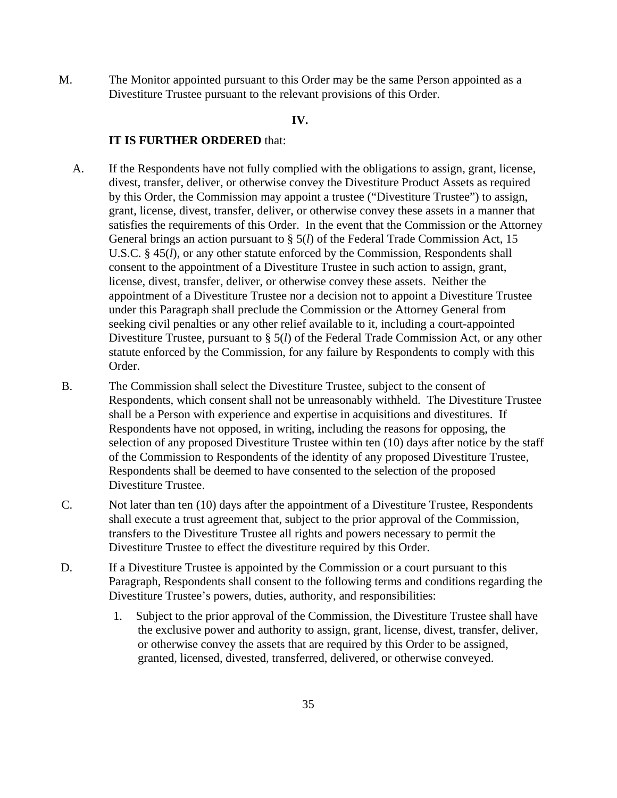M. The Monitor appointed pursuant to this Order may be the same Person appointed as a Divestiture Trustee pursuant to the relevant provisions of this Order.

#### **IV.**

#### **IT IS FURTHER ORDERED** that:

- A. If the Respondents have not fully complied with the obligations to assign, grant, license, divest, transfer, deliver, or otherwise convey the Divestiture Product Assets as required by this Order, the Commission may appoint a trustee ("Divestiture Trustee") to assign, grant, license, divest, transfer, deliver, or otherwise convey these assets in a manner that satisfies the requirements of this Order. In the event that the Commission or the Attorney General brings an action pursuant to § 5(*l*) of the Federal Trade Commission Act, 15 U.S.C. § 45(*l*), or any other statute enforced by the Commission, Respondents shall consent to the appointment of a Divestiture Trustee in such action to assign, grant, license, divest, transfer, deliver, or otherwise convey these assets. Neither the appointment of a Divestiture Trustee nor a decision not to appoint a Divestiture Trustee under this Paragraph shall preclude the Commission or the Attorney General from seeking civil penalties or any other relief available to it, including a court-appointed Divestiture Trustee, pursuant to § 5(*l*) of the Federal Trade Commission Act, or any other statute enforced by the Commission, for any failure by Respondents to comply with this Order.
- B. The Commission shall select the Divestiture Trustee, subject to the consent of Respondents, which consent shall not be unreasonably withheld. The Divestiture Trustee shall be a Person with experience and expertise in acquisitions and divestitures. If Respondents have not opposed, in writing, including the reasons for opposing, the selection of any proposed Divestiture Trustee within ten (10) days after notice by the staff of the Commission to Respondents of the identity of any proposed Divestiture Trustee, Respondents shall be deemed to have consented to the selection of the proposed Divestiture Trustee.
- C. Not later than ten (10) days after the appointment of a Divestiture Trustee, Respondents shall execute a trust agreement that, subject to the prior approval of the Commission, transfers to the Divestiture Trustee all rights and powers necessary to permit the Divestiture Trustee to effect the divestiture required by this Order.
- D. If a Divestiture Trustee is appointed by the Commission or a court pursuant to this Paragraph, Respondents shall consent to the following terms and conditions regarding the Divestiture Trustee's powers, duties, authority, and responsibilities:
	- 1. Subject to the prior approval of the Commission, the Divestiture Trustee shall have the exclusive power and authority to assign, grant, license, divest, transfer, deliver, or otherwise convey the assets that are required by this Order to be assigned, granted, licensed, divested, transferred, delivered, or otherwise conveyed.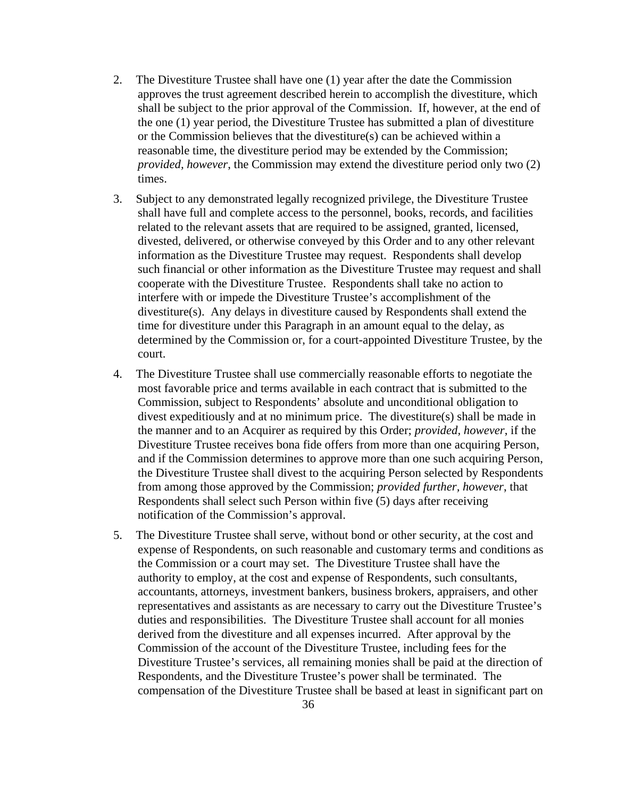- 2. The Divestiture Trustee shall have one (1) year after the date the Commission approves the trust agreement described herein to accomplish the divestiture, which shall be subject to the prior approval of the Commission. If, however, at the end of the one (1) year period, the Divestiture Trustee has submitted a plan of divestiture or the Commission believes that the divestiture(s) can be achieved within a reasonable time, the divestiture period may be extended by the Commission; *provided, however*, the Commission may extend the divestiture period only two (2) times.
- 3. Subject to any demonstrated legally recognized privilege, the Divestiture Trustee shall have full and complete access to the personnel, books, records, and facilities related to the relevant assets that are required to be assigned, granted, licensed, divested, delivered, or otherwise conveyed by this Order and to any other relevant information as the Divestiture Trustee may request. Respondents shall develop such financial or other information as the Divestiture Trustee may request and shall cooperate with the Divestiture Trustee. Respondents shall take no action to interfere with or impede the Divestiture Trustee's accomplishment of the divestiture(s). Any delays in divestiture caused by Respondents shall extend the time for divestiture under this Paragraph in an amount equal to the delay, as determined by the Commission or, for a court-appointed Divestiture Trustee, by the court.
- 4. The Divestiture Trustee shall use commercially reasonable efforts to negotiate the most favorable price and terms available in each contract that is submitted to the Commission, subject to Respondents' absolute and unconditional obligation to divest expeditiously and at no minimum price. The divestiture(s) shall be made in the manner and to an Acquirer as required by this Order; *provided, however*, if the Divestiture Trustee receives bona fide offers from more than one acquiring Person, and if the Commission determines to approve more than one such acquiring Person, the Divestiture Trustee shall divest to the acquiring Person selected by Respondents from among those approved by the Commission; *provided further, however*, that Respondents shall select such Person within five (5) days after receiving notification of the Commission's approval.
- 5. The Divestiture Trustee shall serve, without bond or other security, at the cost and expense of Respondents, on such reasonable and customary terms and conditions as the Commission or a court may set. The Divestiture Trustee shall have the authority to employ, at the cost and expense of Respondents, such consultants, accountants, attorneys, investment bankers, business brokers, appraisers, and other representatives and assistants as are necessary to carry out the Divestiture Trustee's duties and responsibilities. The Divestiture Trustee shall account for all monies derived from the divestiture and all expenses incurred. After approval by the Commission of the account of the Divestiture Trustee, including fees for the Divestiture Trustee's services, all remaining monies shall be paid at the direction of Respondents, and the Divestiture Trustee's power shall be terminated. The compensation of the Divestiture Trustee shall be based at least in significant part on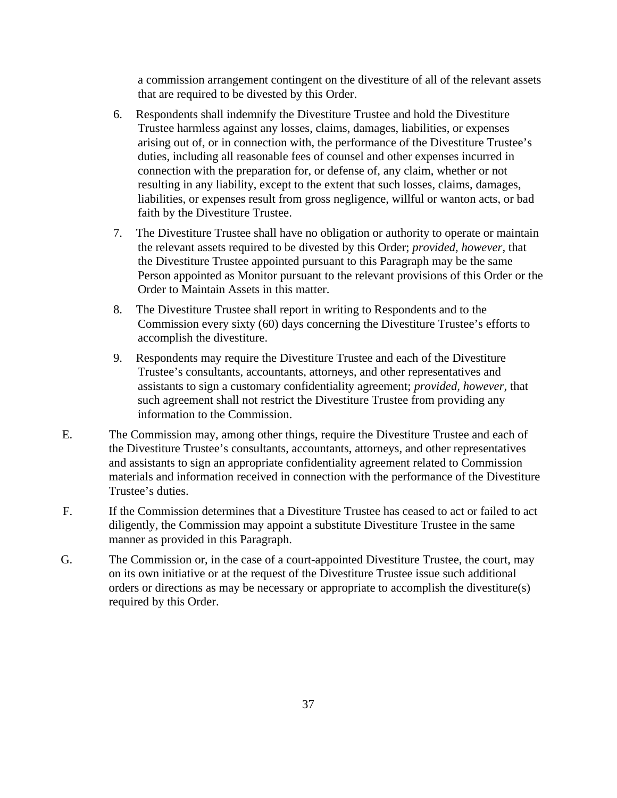a commission arrangement contingent on the divestiture of all of the relevant assets that are required to be divested by this Order.

- 6. Respondents shall indemnify the Divestiture Trustee and hold the Divestiture Trustee harmless against any losses, claims, damages, liabilities, or expenses arising out of, or in connection with, the performance of the Divestiture Trustee's duties, including all reasonable fees of counsel and other expenses incurred in connection with the preparation for, or defense of, any claim, whether or not resulting in any liability, except to the extent that such losses, claims, damages, liabilities, or expenses result from gross negligence, willful or wanton acts, or bad faith by the Divestiture Trustee.
- 7. The Divestiture Trustee shall have no obligation or authority to operate or maintain the relevant assets required to be divested by this Order; *provided, however,* that the Divestiture Trustee appointed pursuant to this Paragraph may be the same Person appointed as Monitor pursuant to the relevant provisions of this Order or the Order to Maintain Assets in this matter.
- 8. The Divestiture Trustee shall report in writing to Respondents and to the Commission every sixty (60) days concerning the Divestiture Trustee's efforts to accomplish the divestiture.
- 9. Respondents may require the Divestiture Trustee and each of the Divestiture Trustee's consultants, accountants, attorneys, and other representatives and assistants to sign a customary confidentiality agreement; *provided, however,* that such agreement shall not restrict the Divestiture Trustee from providing any information to the Commission.
- E. The Commission may, among other things, require the Divestiture Trustee and each of the Divestiture Trustee's consultants, accountants, attorneys, and other representatives and assistants to sign an appropriate confidentiality agreement related to Commission materials and information received in connection with the performance of the Divestiture Trustee's duties.
- F. If the Commission determines that a Divestiture Trustee has ceased to act or failed to act diligently, the Commission may appoint a substitute Divestiture Trustee in the same manner as provided in this Paragraph.
- G. The Commission or, in the case of a court-appointed Divestiture Trustee, the court, may on its own initiative or at the request of the Divestiture Trustee issue such additional orders or directions as may be necessary or appropriate to accomplish the divestiture(s) required by this Order.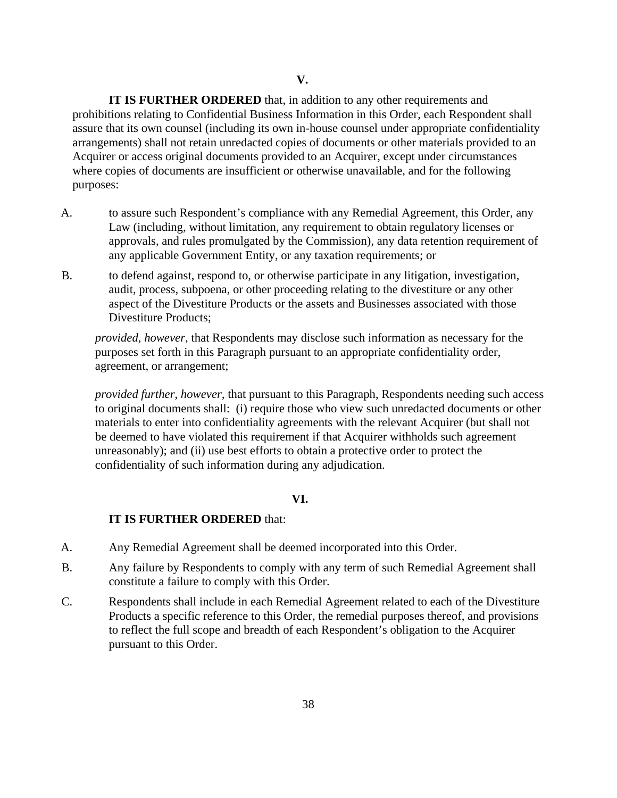**IT IS FURTHER ORDERED** that, in addition to any other requirements and prohibitions relating to Confidential Business Information in this Order, each Respondent shall assure that its own counsel (including its own in-house counsel under appropriate confidentiality arrangements) shall not retain unredacted copies of documents or other materials provided to an Acquirer or access original documents provided to an Acquirer, except under circumstances where copies of documents are insufficient or otherwise unavailable, and for the following purposes:

- A. to assure such Respondent's compliance with any Remedial Agreement, this Order, any Law (including, without limitation, any requirement to obtain regulatory licenses or approvals, and rules promulgated by the Commission), any data retention requirement of any applicable Government Entity, or any taxation requirements; or
- B. to defend against, respond to, or otherwise participate in any litigation, investigation, audit, process, subpoena, or other proceeding relating to the divestiture or any other aspect of the Divestiture Products or the assets and Businesses associated with those Divestiture Products;

*provided*, *however*, that Respondents may disclose such information as necessary for the purposes set forth in this Paragraph pursuant to an appropriate confidentiality order, agreement, or arrangement;

*provided further*, *however,* that pursuant to this Paragraph, Respondents needing such access to original documents shall: (i) require those who view such unredacted documents or other materials to enter into confidentiality agreements with the relevant Acquirer (but shall not be deemed to have violated this requirement if that Acquirer withholds such agreement unreasonably); and (ii) use best efforts to obtain a protective order to protect the confidentiality of such information during any adjudication.

## **VI.**

#### **IT IS FURTHER ORDERED** that:

- A. Any Remedial Agreement shall be deemed incorporated into this Order.
- B. Any failure by Respondents to comply with any term of such Remedial Agreement shall constitute a failure to comply with this Order.
- C. Respondents shall include in each Remedial Agreement related to each of the Divestiture Products a specific reference to this Order, the remedial purposes thereof, and provisions to reflect the full scope and breadth of each Respondent's obligation to the Acquirer pursuant to this Order.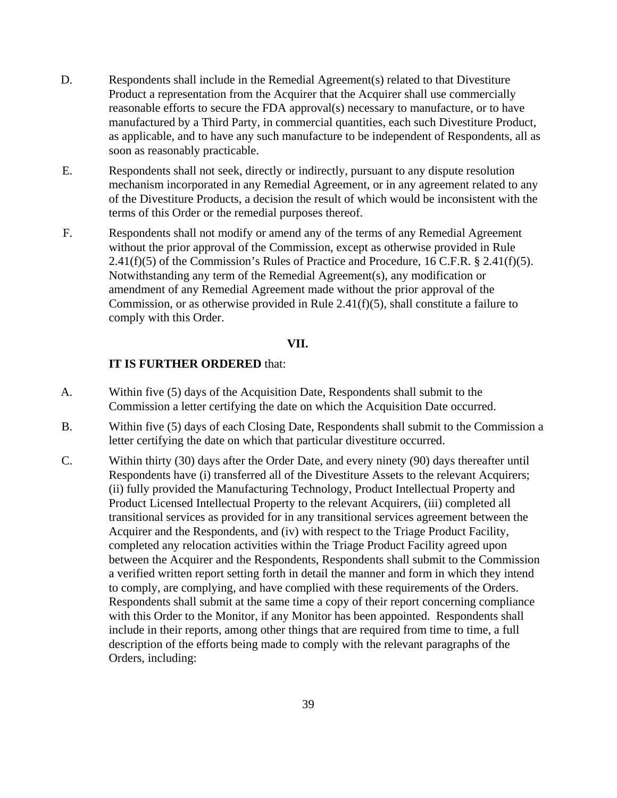- D. Respondents shall include in the Remedial Agreement(s) related to that Divestiture Product a representation from the Acquirer that the Acquirer shall use commercially reasonable efforts to secure the FDA approval(s) necessary to manufacture, or to have manufactured by a Third Party, in commercial quantities, each such Divestiture Product, as applicable, and to have any such manufacture to be independent of Respondents, all as soon as reasonably practicable.
- E. Respondents shall not seek, directly or indirectly, pursuant to any dispute resolution mechanism incorporated in any Remedial Agreement, or in any agreement related to any of the Divestiture Products, a decision the result of which would be inconsistent with the terms of this Order or the remedial purposes thereof.
- F. Respondents shall not modify or amend any of the terms of any Remedial Agreement without the prior approval of the Commission, except as otherwise provided in Rule  $2.41(f)(5)$  of the Commission's Rules of Practice and Procedure, 16 C.F.R. § 2.41(f)(5). Notwithstanding any term of the Remedial Agreement(s), any modification or amendment of any Remedial Agreement made without the prior approval of the Commission, or as otherwise provided in Rule 2.41(f)(5), shall constitute a failure to comply with this Order.

#### **VII.**

### **IT IS FURTHER ORDERED** that:

- A. Within five (5) days of the Acquisition Date, Respondents shall submit to the Commission a letter certifying the date on which the Acquisition Date occurred.
- B. Within five (5) days of each Closing Date, Respondents shall submit to the Commission a letter certifying the date on which that particular divestiture occurred.
- C. Within thirty (30) days after the Order Date, and every ninety (90) days thereafter until Respondents have (i) transferred all of the Divestiture Assets to the relevant Acquirers; (ii) fully provided the Manufacturing Technology, Product Intellectual Property and Product Licensed Intellectual Property to the relevant Acquirers, (iii) completed all transitional services as provided for in any transitional services agreement between the Acquirer and the Respondents, and (iv) with respect to the Triage Product Facility, completed any relocation activities within the Triage Product Facility agreed upon between the Acquirer and the Respondents, Respondents shall submit to the Commission a verified written report setting forth in detail the manner and form in which they intend to comply, are complying, and have complied with these requirements of the Orders. Respondents shall submit at the same time a copy of their report concerning compliance with this Order to the Monitor, if any Monitor has been appointed. Respondents shall include in their reports, among other things that are required from time to time, a full description of the efforts being made to comply with the relevant paragraphs of the Orders, including: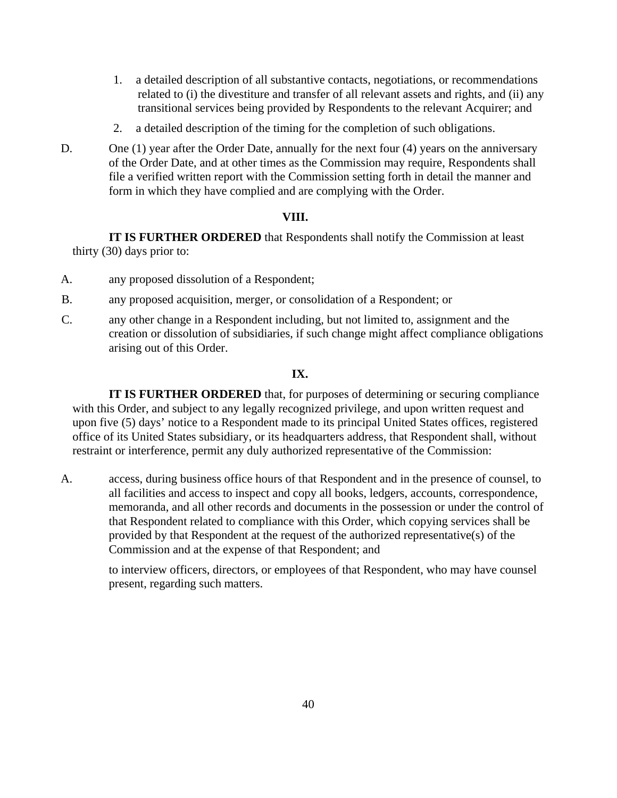- 1. a detailed description of all substantive contacts, negotiations, or recommendations related to (i) the divestiture and transfer of all relevant assets and rights, and (ii) any transitional services being provided by Respondents to the relevant Acquirer; and
- 2. a detailed description of the timing for the completion of such obligations.
- D. One (1) year after the Order Date, annually for the next four (4) years on the anniversary of the Order Date, and at other times as the Commission may require, Respondents shall file a verified written report with the Commission setting forth in detail the manner and form in which they have complied and are complying with the Order.

### **VIII.**

**IT IS FURTHER ORDERED** that Respondents shall notify the Commission at least thirty (30) days prior to:

- A. any proposed dissolution of a Respondent;
- B. any proposed acquisition, merger, or consolidation of a Respondent; or
- C. any other change in a Respondent including, but not limited to, assignment and the creation or dissolution of subsidiaries, if such change might affect compliance obligations arising out of this Order.

### **IX.**

**IT IS FURTHER ORDERED** that, for purposes of determining or securing compliance with this Order, and subject to any legally recognized privilege, and upon written request and upon five (5) days' notice to a Respondent made to its principal United States offices, registered office of its United States subsidiary, or its headquarters address, that Respondent shall, without restraint or interference, permit any duly authorized representative of the Commission:

A. access, during business office hours of that Respondent and in the presence of counsel, to all facilities and access to inspect and copy all books, ledgers, accounts, correspondence, memoranda, and all other records and documents in the possession or under the control of that Respondent related to compliance with this Order, which copying services shall be provided by that Respondent at the request of the authorized representative(s) of the Commission and at the expense of that Respondent; and

to interview officers, directors, or employees of that Respondent, who may have counsel present, regarding such matters.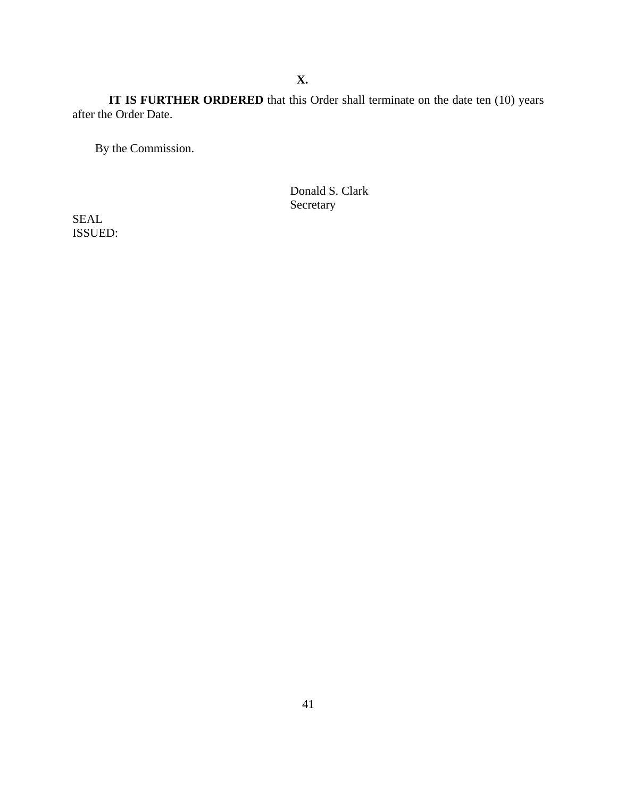**X.**

 **IT IS FURTHER ORDERED** that this Order shall terminate on the date ten (10) years after the Order Date.

By the Commission.

Donald S. Clark Secretary

SEAL ISSUED: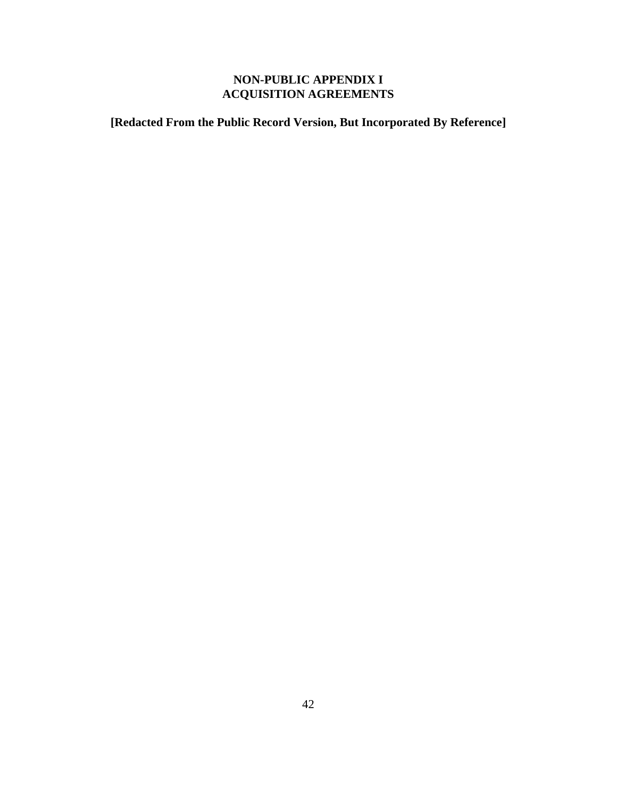# **NON-PUBLIC APPENDIX I ACQUISITION AGREEMENTS**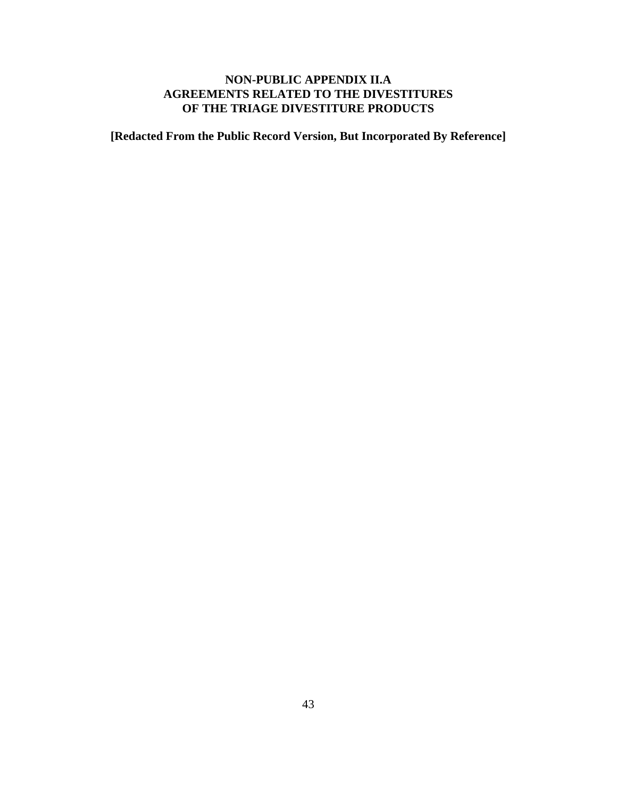## **NON-PUBLIC APPENDIX II.A AGREEMENTS RELATED TO THE DIVESTITURES OF THE TRIAGE DIVESTITURE PRODUCTS**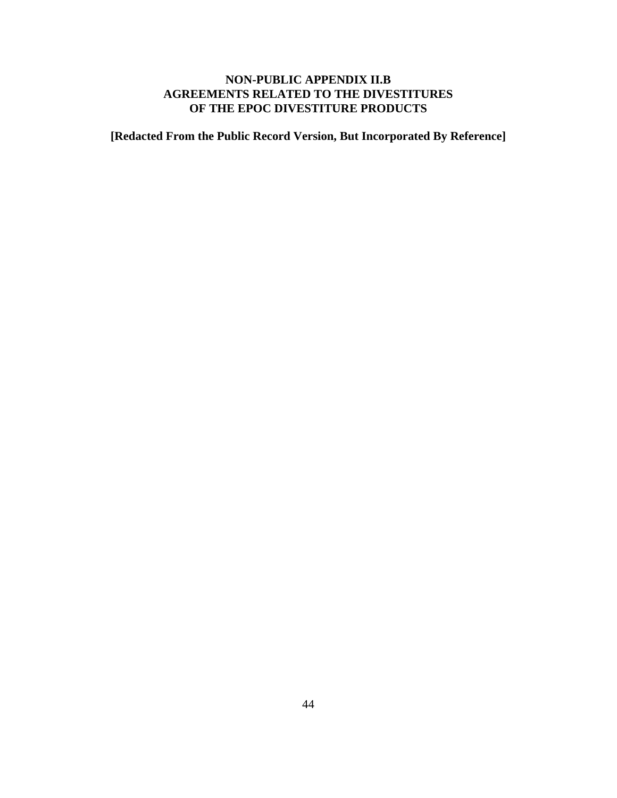## **NON-PUBLIC APPENDIX II.B AGREEMENTS RELATED TO THE DIVESTITURES OF THE EPOC DIVESTITURE PRODUCTS**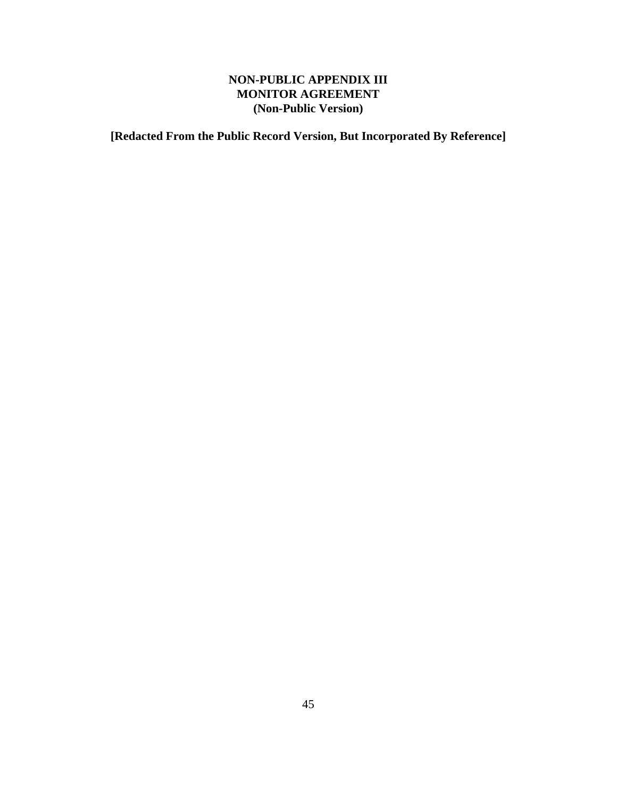# **NON-PUBLIC APPENDIX III MONITOR AGREEMENT (Non-Public Version)**